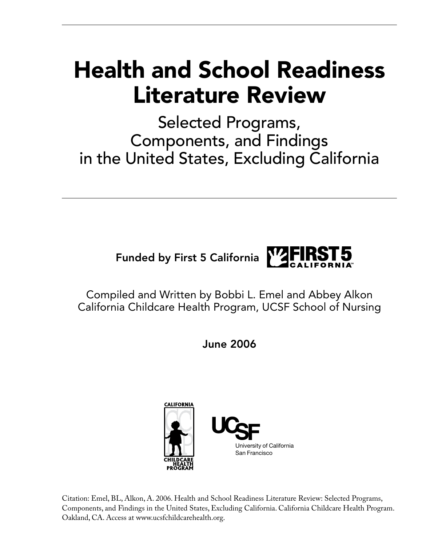# Health and School Readiness Literature Review

Selected Programs, Components, and Findings in the United States, Excluding California



Compiled and Written by Bobbi L. Emel and Abbey Alkon California Childcare Health Program, UCSF School of Nursing

June 2006



Citation: Emel, BL, Alkon, A. 2006. Health and School Readiness Literature Review: Selected Programs, Components, and Findings in the United States, Excluding California. California Childcare Health Program. Oakland, CA. Access at www.ucsfchildcarehealth.org.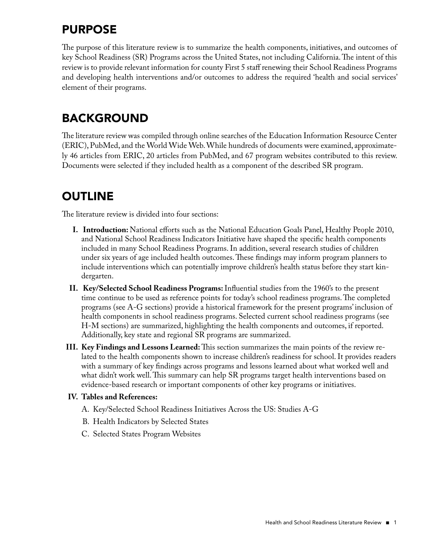## **PURPOSE**

The purpose of this literature review is to summarize the health components, initiatives, and outcomes of key School Readiness (SR) Programs across the United States, not including California. The intent of this review is to provide relevant information for county First 5 staff renewing their School Readiness Programs and developing health interventions and/or outcomes to address the required 'health and social services' element of their programs.

### **BACKGROUND**

The literature review was compiled through online searches of the Education Information Resource Center (ERIC), PubMed, and the World Wide Web. While hundreds of documents were examined, approximately 46 articles from ERIC, 20 articles from PubMed, and 67 program websites contributed to this review. Documents were selected if they included health as a component of the described SR program.

# **OUTLINE**

The literature review is divided into four sections:

- **I. Introduction:** National efforts such as the National Education Goals Panel, Healthy People 2010, and National School Readiness Indicators Initiative have shaped the specific health components included in many School Readiness Programs. In addition, several research studies of children under six years of age included health outcomes. These findings may inform program planners to include interventions which can potentially improve children's health status before they start kindergarten.
- **II. Key/Selected School Readiness Programs:**Influential studies from the 1960's to the present time continue to be used as reference points for today's school readiness programs. The completed programs (see A-G sections) provide a historical framework for the present programs' inclusion of health components in school readiness programs. Selected current school readiness programs (see H-M sections) are summarized, highlighting the health components and outcomes, if reported. Additionally, key state and regional SR programs are summarized.
- **III. Key Findings and Lessons Learned:**This section summarizes the main points of the review related to the health components shown to increase children's readiness for school. It provides readers with a summary of key findings across programs and lessons learned about what worked well and what didn't work well. This summary can help SR programs target health interventions based on evidence-based research or important components of other key programs or initiatives.

#### **IV. Tables and References:**

- A. Key/Selected School Readiness Initiatives Across the US: Studies A-G
- B. Health Indicators by Selected States
- C. Selected States Program Websites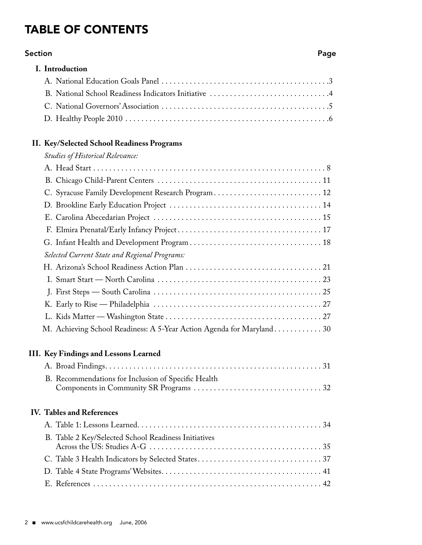# Table of Contents

#### **Section** Page 2014 12:30 Page 2014 12:30 Page 2014 12:30 Page 2014 12:30 Page 2014

| I. Introduction                                                       |
|-----------------------------------------------------------------------|
|                                                                       |
|                                                                       |
|                                                                       |
|                                                                       |
| II. Key/Selected School Readiness Programs                            |
| <b>Studies of Historical Relevance:</b>                               |
|                                                                       |
|                                                                       |
| C. Syracuse Family Development Research Program 12                    |
|                                                                       |
|                                                                       |
|                                                                       |
|                                                                       |
| Selected Current State and Regional Programs:                         |
|                                                                       |
|                                                                       |
|                                                                       |
|                                                                       |
|                                                                       |
| M. Achieving School Readiness: A 5-Year Action Agenda for Maryland 30 |
| III. Key Findings and Lessons Learned                                 |
| 31                                                                    |
| B. Recommendations for Inclusion of Specific Health                   |
| <b>IV. Tables and References</b>                                      |
|                                                                       |
| B. Table 2 Key/Selected School Readiness Initiatives                  |
|                                                                       |
|                                                                       |
|                                                                       |
|                                                                       |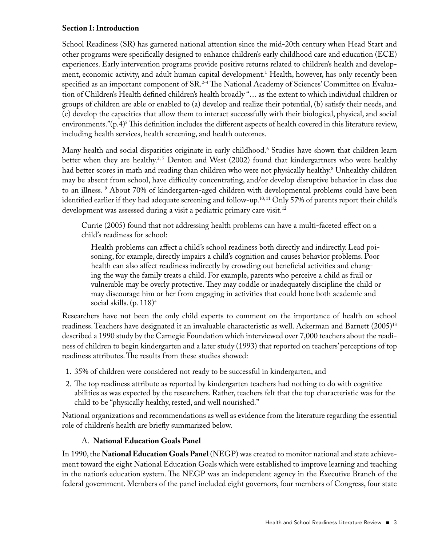#### **Section I: Introduction**

School Readiness (SR) has garnered national attention since the mid-20th century when Head Start and other programs were specifically designed to enhance children's early childhood care and education (ECE) experiences. Early intervention programs provide positive returns related to children's health and development, economic activity, and adult human capital development.1 Health, however, has only recently been specified as an important component of SR.<sup>2-4</sup> The National Academy of Sciences' Committee on Evaluation of Children's Health defined children's health broadly "… as the extent to which individual children or groups of children are able or enabled to (a) develop and realize their potential, (b) satisfy their needs, and (c) develop the capacities that allow them to interact successfully with their biological, physical, and social environments."(p.4)5 This definition includes the different aspects of health covered in this literature review, including health services, health screening, and health outcomes.

Many health and social disparities originate in early childhood.6 Studies have shown that children learn better when they are healthy.<sup>2, 7</sup> Denton and West (2002) found that kindergartners who were healthy had better scores in math and reading than children who were not physically healthy.8 Unhealthy children may be absent from school, have difficulty concentrating, and/or develop disruptive behavior in class due to an illness. <sup>9</sup> About 70% of kindergarten-aged children with developmental problems could have been identified earlier if they had adequate screening and follow-up.<sup>10,11</sup> Only 57% of parents report their child's development was assessed during a visit a pediatric primary care visit.<sup>12</sup>

 Currie (2005) found that not addressing health problems can have a multi-faceted effect on a child's readiness for school:

 Health problems can affect a child's school readiness both directly and indirectly. Lead poisoning, for example, directly impairs a child's cognition and causes behavior problems. Poor health can also affect readiness indirectly by crowding out beneficial activities and changing the way the family treats a child. For example, parents who perceive a child as frail or vulnerable may be overly protective. They may coddle or inadequately discipline the child or may discourage him or her from engaging in activities that could hone both academic and social skills. (p. 118)4

Researchers have not been the only child experts to comment on the importance of health on school readiness. Teachers have designated it an invaluable characteristic as well. Ackerman and Barnett (2005)13 described a 1990 study by the Carnegie Foundation which interviewed over 7,000 teachers about the readiness of children to begin kindergarten and a later study (1993) that reported on teachers' perceptions of top readiness attributes. The results from these studies showed:

- 1. 35% of children were considered not ready to be successful in kindergarten, and
- 2. The top readiness attribute as reported by kindergarten teachers had nothing to do with cognitive abilities as was expected by the researchers. Rather, teachers felt that the top characteristic was for the child to be "physically healthy, rested, and well nourished."

National organizations and recommendations as well as evidence from the literature regarding the essential role of children's health are briefly summarized below.

#### A. **National Education Goals Panel**

In 1990, the **NationalEducation Goals Panel** (NEGP) was created to monitor national and state achievement toward the eight National Education Goals which were established to improve learning and teaching in the nation's education system. The NEGP was an independent agency in the Executive Branch of the federal government. Members of the panel included eight governors, four members of Congress, four state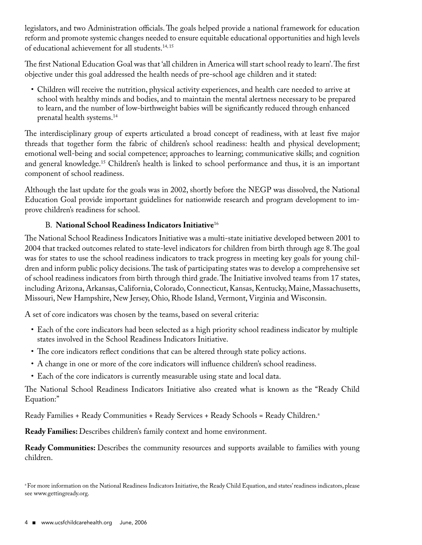legislators, and two Administration officials. The goals helped provide a national framework for education reform and promote systemic changes needed to ensure equitable educational opportunities and high levels of educational achievement for all students.<sup>14, 15</sup>

The first National Education Goal was that 'all children in America will start school ready to learn'. The first objective under this goal addressed the health needs of pre-school age children and it stated:

• Children will receive the nutrition, physical activity experiences, and health care needed to arrive at school with healthy minds and bodies, and to maintain the mental alertness necessary to be prepared to learn, and the number of low-birthweight babies will be significantly reduced through enhanced prenatal health systems.14

The interdisciplinary group of experts articulated a broad concept of readiness, with at least five major threads that together form the fabric of children's school readiness: health and physical development; emotional well-being and social competence; approaches to learning; communicative skills; and cognition and general knowledge.15 Children's health is linked to school performance and thus, it is an important component of school readiness.

Although the last update for the goals was in 2002, shortly before the NEGP was dissolved, the National Education Goal provide important guidelines for nationwide research and program development to improve children's readiness for school.

#### B. **National School Readiness Indicators Initiative**<sup>16</sup>

The National School Readiness Indicators Initiative was a multi-state initiative developed between 2001 to 2004 that tracked outcomes related to state-level indicators for children from birth through age 8. The goal was for states to use the school readiness indicators to track progress in meeting key goals for young children and inform public policy decisions. The task of participating states was to develop a comprehensive set of school readiness indicators from birth through third grade. The Initiative involved teams from 17 states, including Arizona, Arkansas, California, Colorado, Connecticut, Kansas, Kentucky, Maine, Massachusetts, Missouri, New Hampshire, New Jersey, Ohio, Rhode Island, Vermont, Virginia and Wisconsin.

A set of core indicators was chosen by the teams, based on several criteria:

- Each of the core indicators had been selected as a high priority school readiness indicator by multiple states involved in the School Readiness Indicators Initiative.
- The core indicators reflect conditions that can be altered through state policy actions.
- A change in one or more of the core indicators will influence children's school readiness.
- Each of the core indicators is currently measurable using state and local data.

The National School Readiness Indicators Initiative also created what is known as the "Ready Child Equation:"

Ready Families + Ready Communities + Ready Services + Ready Schools = Ready Children.<sup>a</sup>

**Ready Families:** Describes children's family context and home environment.

**Ready Communities:** Describes the community resources and supports available to families with young children.

<sup>a</sup> For more information on the National Readiness Indicators Initiative, the Ready Child Equation, and states' readiness indicators, please see www.gettingready.org.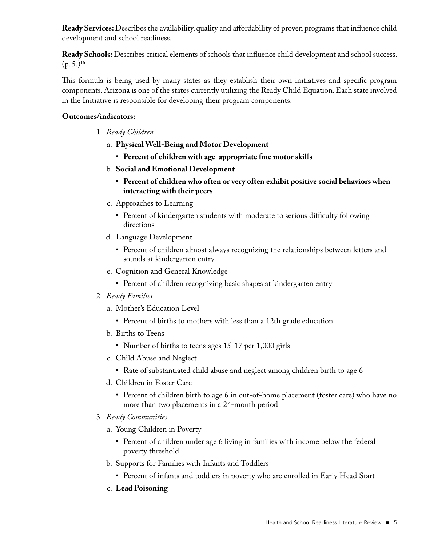**Ready Services:** Describes the availability, quality and affordability of proven programs that influence child development and school readiness.

**Ready Schools:** Describes critical elements of schools that influence child development and school success.  $(p. 5.)^{16}$ 

This formula is being used by many states as they establish their own initiatives and specific program components. Arizona is one of the states currently utilizing the Ready Child Equation. Each state involved in the Initiative is responsible for developing their program components.

#### **Outcomes/indicators:**

- 1. *Ready Children*
	- a. **Physical Well-Being and Motor Development**
		- **• Percent of children with age-appropriate fine motor skills**
	- b. **Social and Emotional Development**
		- **• Percent of children who often or very often exhibit positive social behaviors when interacting with their peers**
	- c. Approaches to Learning
		- Percent of kindergarten students with moderate to serious difficulty following directions
	- d. Language Development
		- Percent of children almost always recognizing the relationships between letters and sounds at kindergarten entry
	- e. Cognition and General Knowledge
		- Percent of children recognizing basic shapes at kindergarten entry
- 2. *Ready Families*
	- a. Mother's Education Level
		- Percent of births to mothers with less than a 12th grade education
	- b. Births to Teens
		- Number of births to teens ages 15-17 per 1,000 girls
	- c. Child Abuse and Neglect
		- Rate of substantiated child abuse and neglect among children birth to age 6
	- d. Children in Foster Care
		- Percent of children birth to age 6 in out-of-home placement (foster care) who have no more than two placements in a 24-month period
- 3. *Ready Communities*
	- a. Young Children in Poverty
		- Percent of children under age 6 living in families with income below the federal poverty threshold
	- b. Supports for Families with Infants and Toddlers
		- Percent of infants and toddlers in poverty who are enrolled in Early Head Start
	- c. **Lead Poisoning**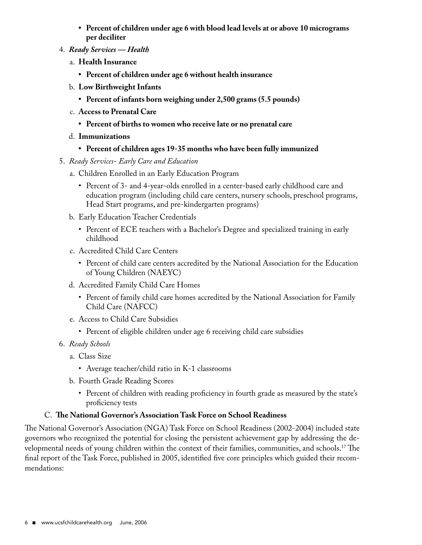- **• Percent of children under age 6 with blood lead levels at or above 10 micrograms per deciliter**
- 4. *Ready Services Health*
	- a. **Health Insurance**
		- **• Percent of children under age 6 without health insurance**
	- b. **Low Birthweight Infants**
		- **• Percent of infants born weighing under 2,500 grams (5.5 pounds)**
	- c. **Access to Prenatal Care**
		- **• Percent of births to women who receive late or no prenatal care**
	- d. **Immunizations**
		- **• Percent of children ages 19-35 months who have been fully immunized**
- 5. *Ready Services- Early Care and Education*
	- a. Children Enrolled in an Early Education Program
		- Percent of 3- and 4-year-olds enrolled in a center-based early childhood care and education program (including child care centers, nursery schools, preschool programs, Head Start programs, and pre-kindergarten programs)
	- b. Early Education Teacher Credentials
		- Percent of ECE teachers with a Bachelor's Degree and specialized training in early childhood
	- c. Accredited Child Care Centers
		- Percent of child care centers accredited by the National Association for the Education of Young Children (NAEYC)
	- d. Accredited Family Child Care Homes
		- Percent of family child care homes accredited by the National Association for Family Child Care (NAFCC)
	- e. Access to Child Care Subsidies
		- Percent of eligible children under age 6 receiving child care subsidies
- 6. *Ready Schools*
	- a. Class Size
		- Average teacher/child ratio in K-1 classrooms
	- b. Fourth Grade Reading Scores
		- Percent of children with reading proficiency in fourth grade as measured by the state's proficiency tests

#### C. **The National Governor's Association Task Force on School Readiness**

The National Governor's Association (NGA) Task Force on School Readiness (2002-2004) included state governors who recognized the potential for closing the persistent achievement gap by addressing the developmental needs of young children within the context of their families, communities, and schools.<sup>17</sup> The final report of the Task Force, published in 2005, identified five core principles which guided their recommendations: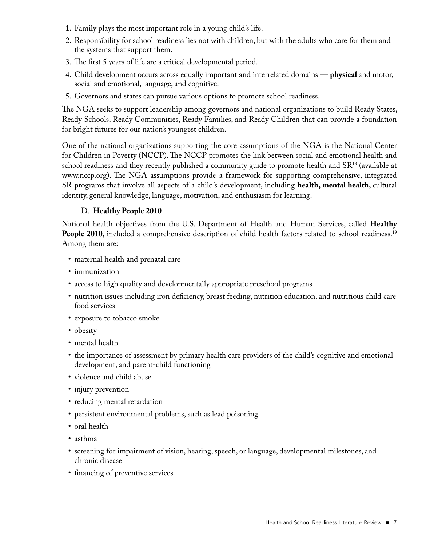- 1. Family plays the most important role in a young child's life.
- 2. Responsibility for school readiness lies not with children, but with the adults who care for them and the systems that support them.
- 3. The first 5 years of life are a critical developmental period.
- 4. Child development occurs across equally important and interrelated domains **physical** and motor, social and emotional, language, and cognitive.
- 5. Governors and states can pursue various options to promote school readiness.

The NGA seeks to support leadership among governors and national organizations to build Ready States, Ready Schools, Ready Communities, Ready Families, and Ready Children that can provide a foundation for bright futures for our nation's youngest children.

One of the national organizations supporting the core assumptions of the NGA is the National Center for Children in Poverty (NCCP). The NCCP promotes the link between social and emotional health and school readiness and they recently published a community guide to promote health and  $SR^{18}$  (available at www.nccp.org). The NGA assumptions provide a framework for supporting comprehensive, integrated SR programs that involve all aspects of a child's development, including **health, mental health,** cultural identity, general knowledge, language, motivation, and enthusiasm for learning.

#### D. **Healthy People 2010**

National health objectives from the U.S. Department of Health and Human Services, called **Healthy People 2010,** included a comprehensive description of child health factors related to school readiness.<sup>19</sup> Among them are:

- maternal health and prenatal care
- immunization
- access to high quality and developmentally appropriate preschool programs
- nutrition issues including iron deficiency, breast feeding, nutrition education, and nutritious child care food services
- exposure to tobacco smoke
- obesity
- mental health
- the importance of assessment by primary health care providers of the child's cognitive and emotional development, and parent-child functioning
- violence and child abuse
- injury prevention
- reducing mental retardation
- persistent environmental problems, such as lead poisoning
- oral health
- asthma
- screening for impairment of vision, hearing, speech, or language, developmental milestones, and chronic disease
- financing of preventive services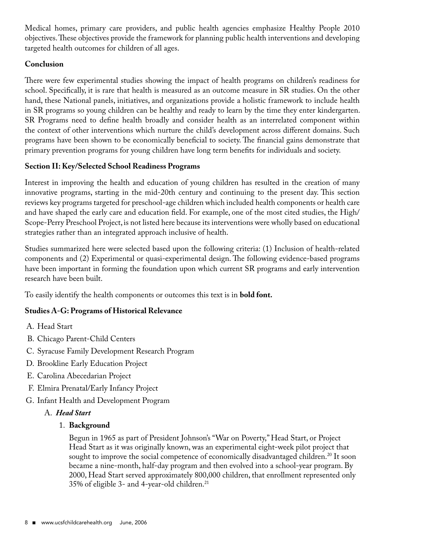Medical homes, primary care providers, and public health agencies emphasize Healthy People 2010 objectives. These objectives provide the framework for planning public health interventions and developing targeted health outcomes for children of all ages.

#### **Conclusion**

There were few experimental studies showing the impact of health programs on children's readiness for school. Specifically, it is rare that health is measured as an outcome measure in SR studies. On the other hand, these National panels, initiatives, and organizations provide a holistic framework to include health in SR programs so young children can be healthy and ready to learn by the time they enter kindergarten. SR Programs need to define health broadly and consider health as an interrelated component within the context of other interventions which nurture the child's development across different domains. Such programs have been shown to be economically beneficial to society. The financial gains demonstrate that primary prevention programs for young children have long term benefits for individuals and society.

#### **Section II: Key/Selected School Readiness Programs**

Interest in improving the health and education of young children has resulted in the creation of many innovative programs, starting in the mid-20th century and continuing to the present day. This section reviews key programs targeted for preschool-age children which included health components or health care and have shaped the early care and education field. For example, one of the most cited studies, the High/ Scope-Perry Preschool Project, is not listed here because its interventions were wholly based on educational strategies rather than an integrated approach inclusive of health.

Studies summarized here were selected based upon the following criteria: (1) Inclusion of health-related components and (2) Experimental or quasi-experimental design. The following evidence-based programs have been important in forming the foundation upon which current SR programs and early intervention research have been built.

To easily identify the health components or outcomes this text is in **bold font.**

#### **Studies A-G: Programs of Historical Relevance**

- A. Head Start
- B. Chicago Parent-Child Centers
- C. Syracuse Family Development Research Program
- D. Brookline Early Education Project
- E. Carolina Abecedarian Project
- F. Elmira Prenatal/Early Infancy Project
- G. Infant Health and Development Program

#### A. *Head Start*

#### 1. **Background**

 Begun in 1965 as part of President Johnson's "War on Poverty," Head Start, or Project Head Start as it was originally known, was an experimental eight-week pilot project that sought to improve the social competence of economically disadvantaged children.<sup>20</sup> It soon became a nine-month, half-day program and then evolved into a school-year program. By 2000, Head Start served approximately 800,000 children, that enrollment represented only 35% of eligible 3- and 4-year-old children.21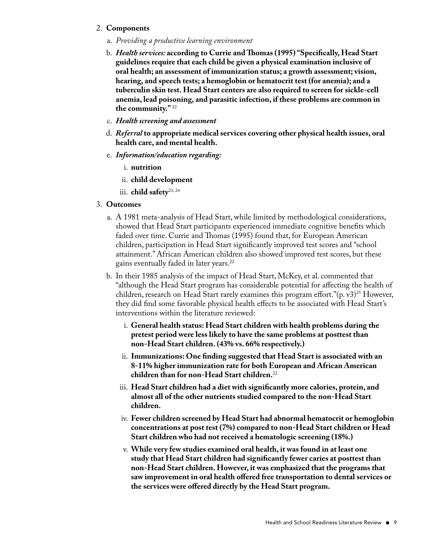#### 2. **Components**

- a. *Providing a productive learning environment*
- b. *Health services:* **according to Currie andThomas (1995) "Specifically, Head Start guidelines require that each child be given a physical examination inclusive of oral health; an assessment of immunization status; a growth assessment; vision, hearing, and speech tests; a hemoglobin or hematocrit test (for anemia); and a tuberculin skin test. Head Start centers are also required to screen for sickle-cell anemia, lead poisoning, and parasitic infection, if these problems are common in the community."** <sup>22</sup>
- c. *Health screening and assessment*
- d. *Referral* **to appropriate medical services covering other physical health issues, oral health care, and mental health.**
- e. *Information/education regarding:*
	- i. **nutrition**
	- ii. **child development**
	- iii. **child safety**23, 24

#### 3. **Outcomes**

- a. A 1981 meta-analysis of Head Start, while limited by methodological considerations, showed that Head Start participants experienced immediate cognitive benefits which faded over time. Currie and Thomas (1995) found that, for European American children, participation in Head Start significantly improved test scores and "school attainment." African American children also showed improved test scores, but these gains eventually faded in later years.22
- b. In their 1985 analysis of the impact of Head Start, McKey, et al. commented that "although the Head Start program has considerable potential for affecting the health of children, research on Head Start rarely examines this program effort." $(p, v3)^{25}$  However, they did find some favorable physical health effects to be associated with Head Start's interventions within the literature reviewed:
	- i. **General health status: Head Start children with health problems during the pretest period were less likely to have the same problems at posttest than non-Head Start children. (43% vs. 66% respectively.)**
	- ii. **Immunizations: One finding suggested that Head Start is associated with an 8-11% higher immunization rate for both European and African American children than for non-Head Start children.**<sup>22</sup>
	- iii. **Head Start children had a diet with significantly more calories, protein, and almost all of the other nutrients studied compared to the non-Head Start children.**
	- iv. **Fewer children screened by Head Start had abnormal hematocrit or hemoglobin concentrations at post test (7%) compared to non-Head Start children or Head Start children who had not received a hematologic screening (18%.)**
	- v. **While very few studies examined oral health, it was found in at least one study that Head Start children had significantly fewer caries at posttest than non-Head Start children. However, it was emphasized that the programs that saw improvement in oral health offered free transportation to dental services or the services were offered directly by the Head Start program.**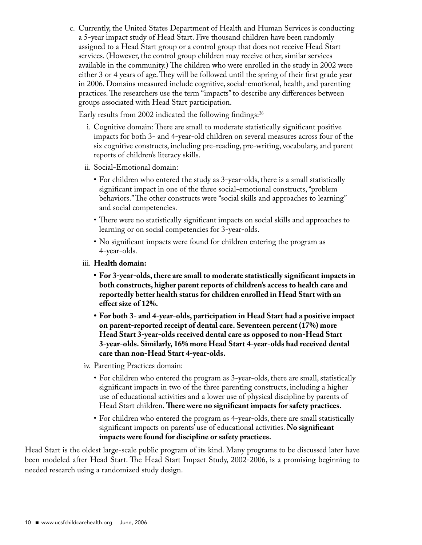c. Currently, the United States Department of Health and Human Services is conducting a 5-year impact study of Head Start. Five thousand children have been randomly assigned to a Head Start group or a control group that does not receive Head Start services. (However, the control group children may receive other, similar services available in the community.) The children who were enrolled in the study in 2002 were either 3 or 4 years of age. They will be followed until the spring of their first grade year in 2006. Domains measured include cognitive, social-emotional, health, and parenting practices. The researchers use the term "impacts" to describe any differences between groups associated with Head Start participation.

Early results from 2002 indicated the following findings:<sup>26</sup>

- i. Cognitive domain: There are small to moderate statistically significant positive impacts for both 3- and 4-year-old children on several measures across four of the six cognitive constructs, including pre-reading, pre-writing, vocabulary, and parent reports of children's literacy skills.
- ii. Social-Emotional domain:
	- For children who entered the study as 3-year-olds, there is a small statistically significant impact in one of the three social-emotional constructs, "problem behaviors." The other constructs were "social skills and approaches to learning" and social competencies.
	- There were no statistically significant impacts on social skills and approaches to learning or on social competencies for 3-year-olds.
	- No significant impacts were found for children entering the program as 4-year-olds.
- iii. **Health domain:**
	- **• For 3-year-olds,there are small to moderate statistically significant impacts in both constructs, higher parent reports of children's access to health care and reportedly better health status for children enrolled in Head Start with an effect size of 12%.**
	- **• For both 3- and 4-year-olds, participation in Head Start had a positive impact on parent-reported receipt of dental care. Seventeen percent (17%) more Head Start 3-year-olds received dental care as opposed to non-Head Start 3-year-olds. Similarly, 16% more Head Start 4-year-olds had received dental care than non-Head Start 4-year-olds.**
- iv. Parenting Practices domain:
	- For children who entered the program as 3-year-olds, there are small, statistically significant impacts in two of the three parenting constructs, including a higher use of educational activities and a lower use of physical discipline by parents of Head Start children. **There were no significant impacts for safety practices.**
	- For children who entered the program as 4-year-olds, there are small statistically significant impacts on parents' use of educational activities. **No significant impacts were found for discipline or safety practices.**

Head Start is the oldest large-scale public program of its kind. Many programs to be discussed later have been modeled after Head Start. The Head Start Impact Study, 2002-2006, is a promising beginning to needed research using a randomized study design.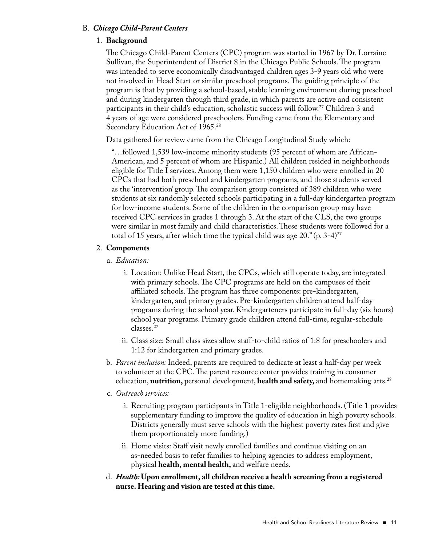#### B. *Chicago Child-Parent Centers*

#### 1. **Background**

 The Chicago Child-Parent Centers (CPC) program was started in 1967 by Dr. Lorraine Sullivan, the Superintendent of District 8 in the Chicago Public Schools. The program was intended to serve economically disadvantaged children ages 3-9 years old who were not involved in Head Start or similar preschool programs. The guiding principle of the program is that by providing a school-based, stable learning environment during preschool and during kindergarten through third grade, in which parents are active and consistent participants in their child's education, scholastic success will follow.27 Children 3 and 4 years of age were considered preschoolers. Funding came from the Elementary and Secondary Education Act of 1965.<sup>28</sup>

Data gathered for review came from the Chicago Longitudinal Study which:

 "…followed 1,539 low-income minority students (95 percent of whom are African-American, and 5 percent of whom are Hispanic.) All children resided in neighborhoods eligible for Title I services. Among them were 1,150 children who were enrolled in 20 CPCs that had both preschool and kindergarten programs, and those students served as the 'intervention' group. The comparison group consisted of 389 children who were students at six randomly selected schools participating in a full-day kindergarten program for low-income students. Some of the children in the comparison group may have received CPC services in grades 1 through 3. At the start of the CLS, the two groups were similar in most family and child characteristics. These students were followed for a total of 15 years, after which time the typical child was age  $20$ ." (p. 3-4)<sup>27</sup>

#### 2. **Components**

- a. *Education:*
	- i. Location: Unlike Head Start, the CPCs, which still operate today, are integrated with primary schools. The CPC programs are held on the campuses of their affiliated schools. The program has three components: pre-kindergarten, kindergarten, and primary grades. Pre-kindergarten children attend half-day programs during the school year. Kindergarteners participate in full-day (six hours) school year programs. Primary grade children attend full-time, regular-schedule classes.27
	- ii. Class size: Small class sizes allow staff-to-child ratios of 1:8 for preschoolers and 1:12 for kindergarten and primary grades.
- b. *Parent inclusion:* Indeed, parents are required to dedicate at least a half-day per week to volunteer at the CPC. The parent resource center provides training in consumer education, **nutrition,** personal development, **health and safety,** and homemaking arts.28

#### c. *Outreach services:*

- i. Recruiting program participants in Title 1-eligible neighborhoods. (Title 1 provides supplementary funding to improve the quality of education in high poverty schools. Districts generally must serve schools with the highest poverty rates first and give them proportionately more funding.)
- ii. Home visits: Staff visit newly enrolled families and continue visiting on an as-needed basis to refer families to helping agencies to address employment, physical **health, mental health,** and welfare needs.
- d. *Health:* **Upon enrollment, all children receive a health screening from a registered nurse. Hearing and vision are tested at this time.**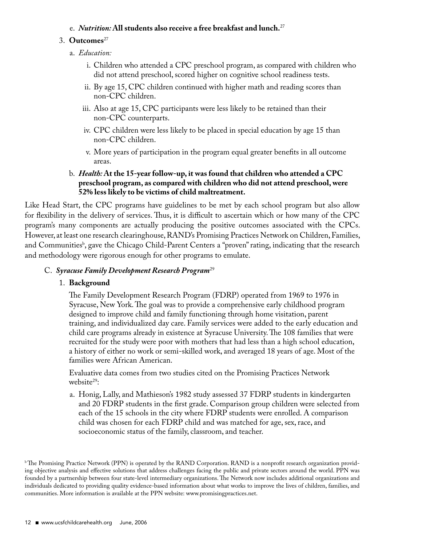#### e. *Nutrition:* **All students also receive a free breakfast and lunch.**<sup>27</sup>

#### 3. **Outcomes**<sup>27</sup>

- a. *Education:*
	- i. Children who attended a CPC preschool program, as compared with children who did not attend preschool, scored higher on cognitive school readiness tests.
	- ii. By age 15, CPC children continued with higher math and reading scores than non-CPC children.
	- iii. Also at age 15, CPC participants were less likely to be retained than their non-CPC counterparts.
	- iv. CPC children were less likely to be placed in special education by age 15 than non-CPC children.
	- v. More years of participation in the program equal greater benefits in all outcome areas.

#### b. *Health:* **At the 15-year follow-up, it was found that children who attended a CPC preschool program, as compared with children who did not attend preschool,were 52% less likely to be victims of child maltreatment.**

Like Head Start, the CPC programs have guidelines to be met by each school program but also allow for flexibility in the delivery of services. Thus, it is difficult to ascertain which or how many of the CPC program's many components are actually producing the positive outcomes associated with the CPCs. However, at least one research clearinghouse, RAND's Promising Practices Network on Children, Families, and Communities<sup>b</sup>, gave the Chicago Child-Parent Centers a "proven" rating, indicating that the research and methodology were rigorous enough for other programs to emulate.

#### C. *Syracuse Family Development Research Program*<sup>29</sup>

#### 1. **Background**

 The Family Development Research Program (FDRP) operated from 1969 to 1976 in Syracuse, New York. The goal was to provide a comprehensive early childhood program designed to improve child and family functioning through home visitation, parent training, and individualized day care. Family services were added to the early education and child care programs already in existence at Syracuse University. The 108 families that were recruited for the study were poor with mothers that had less than a high school education, a history of either no work or semi-skilled work, and averaged 18 years of age. Most of the families were African American.

 Evaluative data comes from two studies cited on the Promising Practices Network website<sup>29</sup>:

a. Honig, Lally, and Mathieson's 1982 study assessed 37 FDRP students in kindergarten and 20 FDRP students in the first grade. Comparison group children were selected from each of the 15 schools in the city where FDRP students were enrolled. A comparison child was chosen for each FDRP child and was matched for age, sex, race, and socioeconomic status of the family, classroom, and teacher.

<sup>&</sup>lt;sup>b</sup> The Promising Practice Network (PPN) is operated by the RAND Corporation. RAND is a nonprofit research organization providing objective analysis and effective solutions that address challenges facing the public and private sectors around the world. PPN was founded by a partnership between four state-level intermediary organizations. The Network now includes additional organizations and individuals dedicated to providing quality evidence-based information about what works to improve the lives of children, families, and communities. More information is available at the PPN website: www.promisingpractices.net.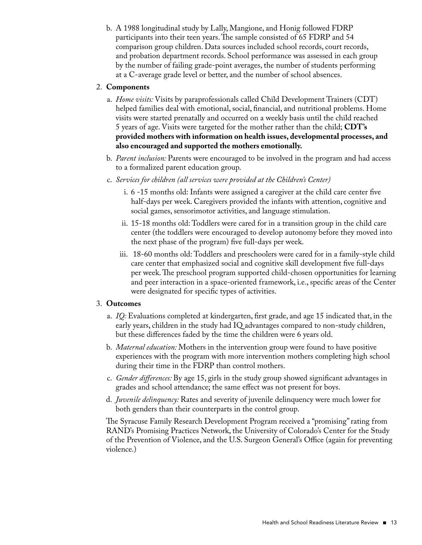b. A 1988 longitudinal study by Lally, Mangione, and Honig followed FDRP participants into their teen years. The sample consisted of 65 FDRP and 54 comparison group children. Data sources included school records, court records, and probation department records. School performance was assessed in each group by the number of failing grade-point averages, the number of students performing at a C-average grade level or better, and the number of school absences.

#### 2. **Components**

- a. *Home visits:* Visits by paraprofessionals called Child Development Trainers (CDT) helped families deal with emotional, social, financial, and nutritional problems. Home visits were started prenatally and occurred on a weekly basis until the child reached 5 years of age. Visits were targeted for the mother rather than the child; **CDT's provided mothers with information on health issues, developmental processes, and also encouraged and supported the mothers emotionally.**
- b. *Parent inclusion:* Parents were encouraged to be involved in the program and had access to a formalized parent education group.
- c. *Services for children (all services were provided at the Children's Center)*
	- i. 6 -15 months old: Infants were assigned a caregiver at the child care center five half-days per week. Caregivers provided the infants with attention, cognitive and social games, sensorimotor activities, and language stimulation.
	- ii. 15-18 months old: Toddlers were cared for in a transition group in the child care center (the toddlers were encouraged to develop autonomy before they moved into the next phase of the program) five full-days per week.
	- iii. 18-60 months old: Toddlers and preschoolers were cared for in a family-style child care center that emphasized social and cognitive skill development five full-days per week. The preschool program supported child-chosen opportunities for learning and peer interaction in a space-oriented framework, i.e., specific areas of the Center were designated for specific types of activities.

#### 3. **Outcomes**

- a. *IQ:* Evaluations completed at kindergarten, first grade, and age 15 indicated that, in the early years, children in the study had IQ advantages compared to non-study children, but these differences faded by the time the children were 6 years old.
- b. *Maternal education:* Mothers in the intervention group were found to have positive experiences with the program with more intervention mothers completing high school during their time in the FDRP than control mothers.
- c. *Gender differences:* By age 15, girls in the study group showed significant advantages in grades and school attendance; the same effect was not present for boys.
- d. *Juvenile delinquency:* Rates and severity of juvenile delinquency were much lower for both genders than their counterparts in the control group.

 The Syracuse Family Research Development Program received a "promising" rating from RAND's Promising Practices Network, the University of Colorado's Center for the Study of the Prevention of Violence, and the U.S. Surgeon General's Office (again for preventing violence.)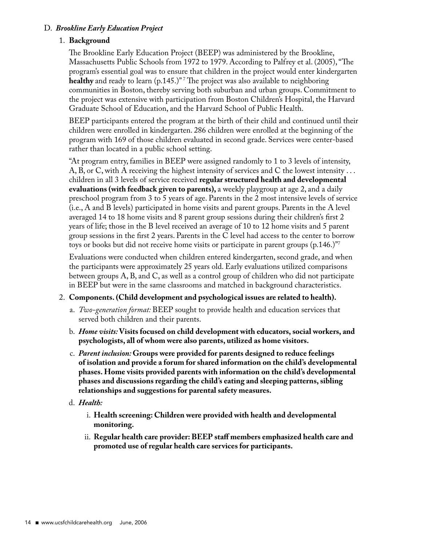#### D. *Brookline Early Education Project*

#### 1. **Background**

 The Brookline Early Education Project (BEEP) was administered by the Brookline, Massachusetts Public Schools from 1972 to 1979. According to Palfrey et al. (2005), "The program's essential goal was to ensure that children in the project would enter kindergarten **healthy** and ready to learn (p.145.)" 7 The project was also available to neighboring communities in Boston, thereby serving both suburban and urban groups. Commitment to the project was extensive with participation from Boston Children's Hospital, the Harvard Graduate School of Education, and the Harvard School of Public Health.

 BEEP participants entered the program at the birth of their child and continued until their children were enrolled in kindergarten. 286 children were enrolled at the beginning of the program with 169 of those children evaluated in second grade. Services were center-based rather than located in a public school setting.

 "At program entry, families in BEEP were assigned randomly to 1 to 3 levels of intensity, A, B, or C, with A receiving the highest intensity of services and C the lowest intensity  $\dots$ children in all 3 levels of service received **regular structured health and developmental evaluations (with feedback given to parents),** a weekly playgroup at age 2, and a daily preschool program from 3 to 5 years of age. Parents in the 2 most intensive levels of service (i.e., A and B levels) participated in home visits and parent groups. Parents in the A level averaged 14 to 18 home visits and 8 parent group sessions during their children's first 2 years of life; those in the B level received an average of 10 to 12 home visits and 5 parent group sessions in the first 2 years. Parents in the C level had access to the center to borrow toys or books but did not receive home visits or participate in parent groups  $(p.146.)$ <sup>77</sup>

 Evaluations were conducted when children entered kindergarten, second grade, and when the participants were approximately 25 years old. Early evaluations utilized comparisons between groups A, B, and C, as well as a control group of children who did not participate in BEEP but were in the same classrooms and matched in background characteristics.

#### 2. **Components. (Child development and psychological issues are related to health).**

- a. *Two-generation format:* BEEP sought to provide health and education services that served both children and their parents.
- b. *Home visits:* **Visits focused on child development with educators,social workers, and psychologists, all of whom were also parents, utilized as home visitors.**
- c. *Parent inclusion:* **Groups were provided for parents designed to reduce feelings of isolation and provide a forum for shared information on the child's developmental phases. Home visits provided parents with information on the child's developmental phases and discussions regarding the child's eating and sleeping patterns,sibling relationships and suggestions for parental safety measures.**
- d. *Health:* 
	- i. **Health screening: Children were provided with health and developmental monitoring.**
	- ii. **Regular health care provider:BEEP staff members emphasized health care and promoted use of regular health care services for participants.**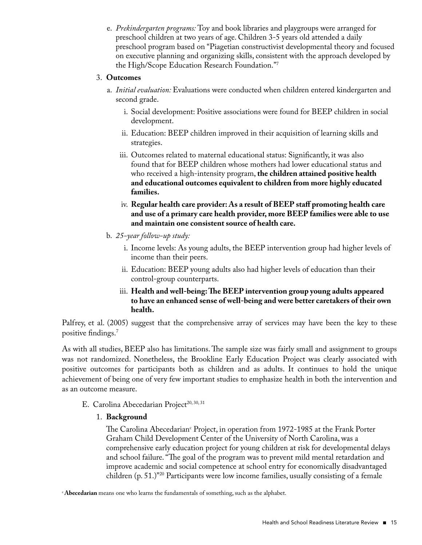e. *Prekindergarten programs:* Toy and book libraries and playgroups were arranged for preschool children at two years of age. Children 3-5 years old attended a daily preschool program based on "Piagetian constructivist developmental theory and focused on executive planning and organizing skills, consistent with the approach developed by the High/Scope Education Research Foundation."7

#### 3. **Outcomes**

- a. *Initial evaluation:* Evaluations were conducted when children entered kindergarten and second grade.
	- i. Social development: Positive associations were found for BEEP children in social development.
	- ii. Education: BEEP children improved in their acquisition of learning skills and strategies.
	- iii. Outcomes related to maternal educational status: Significantly, it was also found that for BEEP children whose mothers had lower educational status and who received a high-intensity program, **the children attained positive health and educational outcomes equivalent to children from more highly educated families.**
	- iv. **Regular health care provider: As a result of BEEP staff promoting health care and use of a primary care health provider, more BEEP families were able to use and maintain one consistent source of health care.**
- b. *25-year follow-up study:*
	- i. Income levels: As young adults, the BEEP intervention group had higher levels of income than their peers.
	- ii. Education: BEEP young adults also had higher levels of education than their control-group counterparts.
	- iii. **Health and well-being:The BEEP intervention group young adults appeared to have an enhanced sense of well-being and were better caretakers of their own health.**

Palfrey, et al. (2005) suggest that the comprehensive array of services may have been the key to these positive findings.7

As with all studies, BEEP also has limitations. The sample size was fairly small and assignment to groups was not randomized. Nonetheless, the Brookline Early Education Project was clearly associated with positive outcomes for participants both as children and as adults. It continues to hold the unique achievement of being one of very few important studies to emphasize health in both the intervention and as an outcome measure.

- E. Carolina Abecedarian Project<sup>20, 30, 31</sup>
	- 1. **Background**

The Carolina Abecedarian<sup>c</sup> Project, in operation from 1972-1985 at the Frank Porter Graham Child Development Center of the University of North Carolina, was a comprehensive early education project for young children at risk for developmental delays and school failure. "The goal of the program was to prevent mild mental retardation and improve academic and social competence at school entry for economically disadvantaged children (p. 51.)"20 Participants were low income families, usually consisting of a female

<sup>&</sup>lt;sup>c</sup>Abecedarian means one who learns the fundamentals of something, such as the alphabet.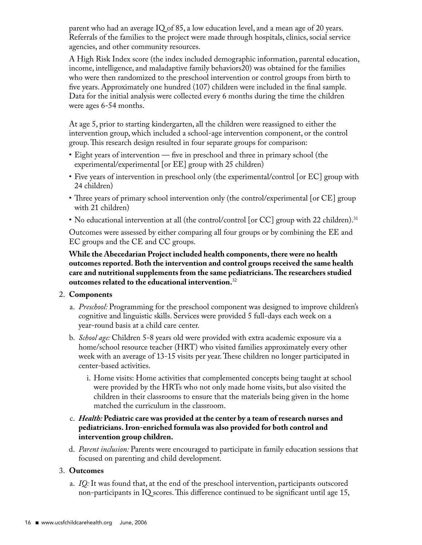parent who had an average IQ of 85, a low education level, and a mean age of 20 years. Referrals of the families to the project were made through hospitals, clinics, social service agencies, and other community resources.

 A High Risk Index score (the index included demographic information, parental education, income, intelligence, and maladaptive family behaviors20) was obtained for the families who were then randomized to the preschool intervention or control groups from birth to five years. Approximately one hundred (107) children were included in the final sample. Data for the initial analysis were collected every 6 months during the time the children were ages 6-54 months.

At age 5, prior to starting kindergarten, all the children were reassigned to either the intervention group, which included a school-age intervention component, or the control group. This research design resulted in four separate groups for comparison:

- Eight years of intervention five in preschool and three in primary school (the experimental/experimental [or EE] group with 25 children)
- Five years of intervention in preschool only (the experimental/control [or EC] group with 24 children)
- Three years of primary school intervention only (the control/experimental [or CE] group with 21 children)
- No educational intervention at all (the control/control [or CC] group with 22 children).<sup>31</sup>

 Outcomes were assessed by either comparing all four groups or by combining the EE and EC groups and the CE and CC groups.

 **While the Abecedarian Project included health components,there were no health outcomes reported.Both the intervention and control groups received the same health care and nutritional supplements from the same pediatricians.The researchers studied outcomes related to the educational intervention.**<sup>32</sup>

#### 2. **Components**

- a. *Preschool:* Programming for the preschool component was designed to improve children's cognitive and linguistic skills. Services were provided 5 full-days each week on a year-round basis at a child care center.
- b. *School age:* Children 5-8 years old were provided with extra academic exposure via a home/school resource teacher (HRT) who visited families approximately every other week with an average of 13-15 visits per year. These children no longer participated in center-based activities.
	- i. Home visits: Home activities that complemented concepts being taught at school were provided by the HRTs who not only made home visits, but also visited the children in their classrooms to ensure that the materials being given in the home matched the curriculum in the classroom.
- c. *Health:* **Pediatric care was provided at the center by a team of research nurses and pediatricians. Iron-enriched formula was also provided for both control and intervention group children.**
- d. *Parent inclusion:* Parents were encouraged to participate in family education sessions that focused on parenting and child development.

#### 3. **Outcomes**

a. *IQ:* It was found that, at the end of the preschool intervention, participants outscored non-participants in IQ scores. This difference continued to be significant until age 15,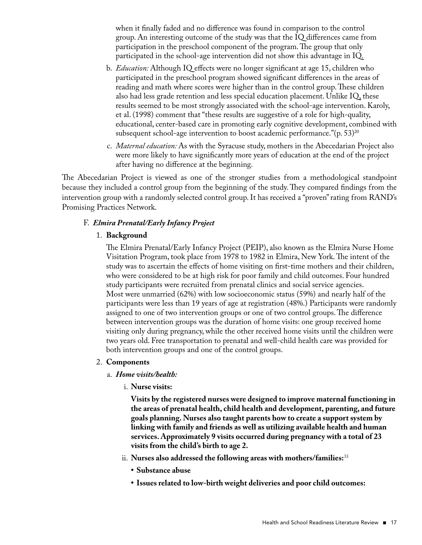when it finally faded and no difference was found in comparison to the control group. An interesting outcome of the study was that the IQ differences came from participation in the preschool component of the program. The group that only participated in the school-age intervention did not show this advantage in IQ.

- b. *Education:* Although IQ effects were no longer significant at age 15, children who participated in the preschool program showed significant differences in the areas of reading and math where scores were higher than in the control group. These children also had less grade retention and less special education placement. Unlike IQ, these results seemed to be most strongly associated with the school-age intervention. Karoly, et al. (1998) comment that "these results are suggestive of a role for high-quality, educational, center-based care in promoting early cognitive development, combined with subsequent school-age intervention to boost academic performance." $(p. 53)^{20}$
- c. *Maternal education:* As with the Syracuse study, mothers in the Abecedarian Project also were more likely to have significantly more years of education at the end of the project after having no difference at the beginning.

The Abecedarian Project is viewed as one of the stronger studies from a methodological standpoint because they included a control group from the beginning of the study. They compared findings from the intervention group with a randomly selected control group. It has received a "proven" rating from RAND's Promising Practices Network.

#### F. *Elmira Prenatal/Early Infancy Project*

#### 1. **Background**

 The Elmira Prenatal/Early Infancy Project (PEIP), also known as the Elmira Nurse Home Visitation Program, took place from 1978 to 1982 in Elmira, New York. The intent of the study was to ascertain the effects of home visiting on first-time mothers and their children, who were considered to be at high risk for poor family and child outcomes. Four hundred study participants were recruited from prenatal clinics and social service agencies. Most were unmarried (62%) with low socioeconomic status (59%) and nearly half of the participants were less than 19 years of age at registration (48%.) Participants were randomly assigned to one of two intervention groups or one of two control groups. The difference between intervention groups was the duration of home visits: one group received home visiting only during pregnancy, while the other received home visits until the children were two years old. Free transportation to prenatal and well-child health care was provided for both intervention groups and one of the control groups.

#### 2. **Components**

#### a. *Home visits/health:*

i. **Nurse visits:**

 **Visits by the registered nurses were designed to improve maternal functioning in the areas of prenatal health, child health and development, parenting, and future goals planning. Nurses also taught parents how to create a support system by linking with family and friends as well as utilizing available health and human services. Approximately 9 visits occurred during pregnancy with a total of 23 visits from the child's birth to age 2.**

- ii. **Nurses also addressed the following areas with mothers/families:**<sup>33</sup>
	- **• Substance abuse**
	- **• Issues related to low-birth weight deliveries and poor child outcomes:**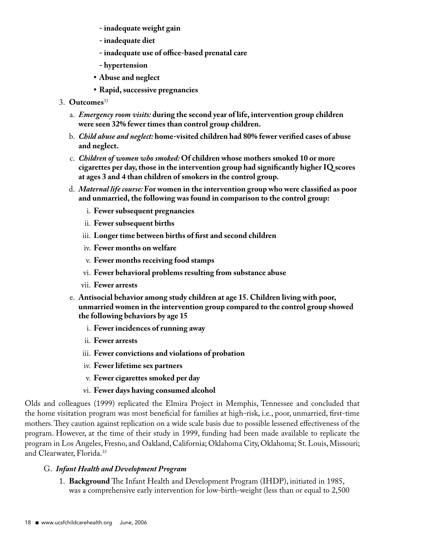- **- inadequate weight gain**
- **- inadequate diet**
- **- inadequate use of office-based prenatal care**
- **- hypertension**
- **• Abuse and neglect**
- **Rapid, successive pregnancies**
- 3. **Outcomes**<sup>33</sup>
	- a. *Emergency room visits:* **during the second year of life, intervention group children were seen 32% fewer times than control group children.**
	- b. *Child abuse and neglect:* **home-visited children had 80% fewer verified cases of abuse and neglect.**
	- c. *Children of women who smoked:* **Of children whose mothers smoked 10 or more cigarettes per day,those in the intervention group had significantly higher IQ scores at ages 3 and 4 than children of smokers in the control group.**
	- d. *Maternal life course:* **For women in the intervention group who were classified as poor and unmarried,the following was found in comparison to the control group:**
		- i. **Fewer subsequent pregnancies**
		- ii. **Fewer subsequent births**
		- iii. **Longer time between births of first and second children**
		- iv. **Fewer months on welfare**
		- v. **Fewer months receiving food stamps**
		- vi. **Fewer behavioral problems resulting from substance abuse**
		- vii. **Fewer arrests**
	- e. **Antisocial behavior among study children at age 15. Children living with poor, unmarried women in the intervention group compared to the control group showed the following behaviors by age 15**
		- i. **Fewer incidences of running away**
		- ii. **Fewer arrests**
		- iii. **Fewer convictions and violations of probation**
		- iv. **Fewer lifetime sex partners**
		- v. **Fewer cigarettes smoked per day**
		- vi. **Fewer days having consumed alcohol**

Olds and colleagues (1999) replicated the Elmira Project in Memphis, Tennessee and concluded that the home visitation program was most beneficial for families at high-risk, i.e., poor, unmarried, first-time mothers. They caution against replication on a wide scale basis due to possible lessened effectiveness of the program. However, at the time of their study in 1999, funding had been made available to replicate the program in Los Angeles, Fresno, and Oakland, California; Oklahoma City, Oklahoma; St. Louis, Missouri; and Clearwater, Florida.<sup>33</sup>

#### G. *Infant Health and Development Program*

1. **Background** The Infant Health and Development Program (IHDP), initiated in 1985, was a comprehensive early intervention for low-birth-weight (less than or equal to 2,500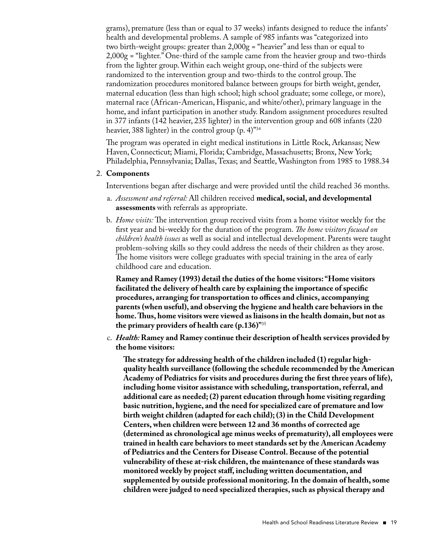grams), premature (less than or equal to 37 weeks) infants designed to reduce the infants' health and developmental problems. A sample of 985 infants was "categorized into two birth-weight groups: greater than  $2,000g =$  "heavier" and less than or equal to 2,000g = "lighter." One-third of the sample came from the heavier group and two-thirds from the lighter group. Within each weight group, one-third of the subjects were randomized to the intervention group and two-thirds to the control group. The randomization procedures monitored balance between groups for birth weight, gender, maternal education (less than high school; high school graduate; some college, or more), maternal race (African-American, Hispanic, and white/other), primary language in the home, and infant participation in another study. Random assignment procedures resulted in 377 infants (142 heavier, 235 lighter) in the intervention group and 608 infants (220 heavier, 388 lighter) in the control group  $(p, 4)^{34}$ 

 The program was operated in eight medical institutions in Little Rock, Arkansas; New Haven, Connecticut; Miami, Florida; Cambridge, Massachusetts; Bronx, New York; Philadelphia, Pennsylvania; Dallas, Texas; and Seattle, Washington from 1985 to 1988.34

#### 2. **Components**

Interventions began after discharge and were provided until the child reached 36 months.

- a. *Assessment and referral:* All children received **medical,social, and developmental assessments** with referrals as appropriate.
- b. *Home visits:* The intervention group received visits from a home visitor weekly for the first year and bi-weekly for the duration of the program. *The home visitors focused on children's health issues* as well as social and intellectual development. Parents were taught problem-solving skills so they could address the needs of their children as they arose. The home visitors were college graduates with special training in the area of early childhood care and education.

 **Ramey and Ramey (1993) detail the duties of the home visitors: "Home visitors facilitated the delivery of health care by explaining the importance of specific procedures, arranging for transportation to offices and clinics, accompanying parents (when useful), and observing the hygiene and health care behaviors in the home.Thus, home visitors were viewed as liaisons in the health domain, but not as the primary providers of health care (p.136)"**<sup>35</sup>

c. *Health:* **Ramey and Ramey continue their description of health services provided by the home visitors:**

 **The strategy for addressing health of the children included (1) regular highquality health surveillance (following the schedule recommended by the American Academy of Pediatrics for visits and procedures during the first three years of life), including home visitor assistance with scheduling,transportation,referral, and additional care as needed; (2) parent education through home visiting regarding basic nutrition, hygiene, and the need for specialized care of premature and low birth weight children (adapted for each child); (3) in the Child Development Centers,when children were between 12 and 36 months of corrected age (determined as chronological age minus weeks of prematurity), all employees were trained in health care behaviors to meet standards set by the American Academy of Pediatrics and the Centers for Disease Control.Because of the potential vulnerability of these at-risk children,the maintenance of these standards was monitored weekly by project staff, including written documentation, and supplemented by outside professional monitoring. In the domain of health,some children were judged to need specialized therapies,such as physical therapy and**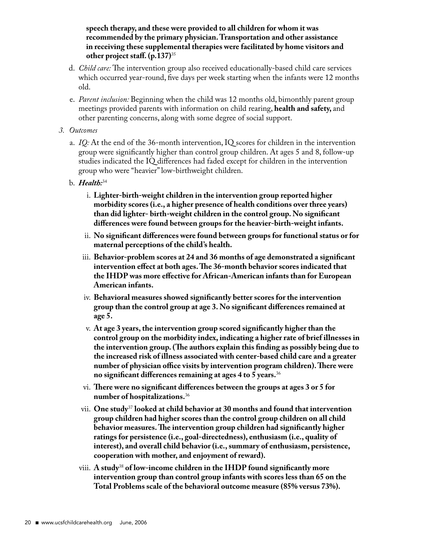**speech therapy, and these were provided to all children for whom it was recommended by the primary physician.Transportation and other assistance in receiving these supplemental therapies were facilitated by home visitors and other project staff. (p.137)**<sup>35</sup>

- d. *Child care:* The intervention group also received educationally-based child care services which occurred year-round, five days per week starting when the infants were 12 months old.
- e. *Parent inclusion:* Beginning when the child was 12 months old, bimonthly parent group meetings provided parents with information on child rearing, **health and safety,** and other parenting concerns, along with some degree of social support.
- *3. Outcomes*
	- a. *IQ:* At the end of the 36-month intervention, IQ scores for children in the intervention group were significantly higher than control group children. At ages 5 and 8, follow-up studies indicated the IQ differences had faded except for children in the intervention group who were "heavier" low-birthweight children.
	- b. *Health:*<sup>34</sup>
		- i. **Lighter-birth-weight children in the intervention group reported higher morbidity scores (i.e., a higher presence of health conditions over three years) than did lighter- birth-weight children in the control group. No significant differences were found between groups for the heavier-birth-weight infants.**
		- ii. **No significant differences were found between groups for functional status or for maternal perceptions of the child's health.**
		- iii. **Behavior-problem scores at 24 and 36 months of age demonstrated a significant intervention effect at both ages.The 36-month behavior scores indicated that the IHDP was more effective for African-American infants than for European American infants.**
		- iv. **Behavioral measures showed significantly better scores for the intervention group than the control group at age 3. No significant differences remained at age 5.**
		- v. **At age 3 years,the intervention group scored significantly higher than the control group on the morbidity index, indicating a higher rate of brief illnesses in the intervention group. (The authors explain this finding as possibly being due to the increased risk of illness associated with center-based child care and a greater number of physician office visits by intervention program children).There were no significant differences remaining at ages 4 to 5 years.**<sup>36</sup>
		- vi. **There were no significant differences between the groups at ages 3 or 5 for number of hospitalizations.**<sup>36</sup>
		- vii. **One study**<sup>37</sup> **looked at child behavior at 30 months and found that intervention group children had higher scores than the control group children on all child behavior measures.The intervention group children had significantly higher ratings for persistence (i.e., goal-directedness), enthusiasm (i.e., quality of interest), and overall child behavior (i.e.,summary of enthusiasm, persistence, cooperation with mother, and enjoyment of reward).**
		- viii. **A study**<sup>38</sup> **of low-income children in the IHDP found significantly more intervention group than control group infants with scores less than 65 on the Total Problems scale of the behavioral outcome measure (85% versus 73%).**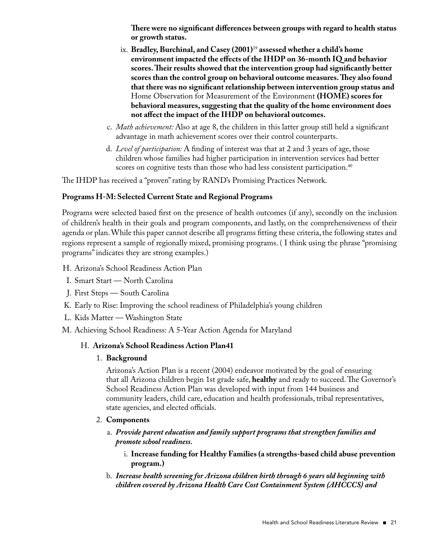**There were no significant differences between groups with regard to health status or growth status.**

- ix. **Bradley,Burchinal, and Casey (2001)**<sup>39</sup> **assessed whether a child's home environment impacted the effects of the IHDP on 36-month IQ and behavior scores.Their results showed that the intervention group had significantly better scores than the control group on behavioral outcome measures.They also found that there was no significant relationship between intervention group status and** Home Observation for Measurement of the Environment **(HOME) scores for behavioral measures,suggesting that the quality of the home environment does not affect the impact of the IHDP on behavioral outcomes.**
- c. *Math achievement:* Also at age 8, the children in this latter group still held a significant advantage in math achievement scores over their control counterparts.
- d. *Level of participation:* A finding of interest was that at 2 and 3 years of age, those children whose families had higher participation in intervention services had better scores on cognitive tests than those who had less consistent participation.<sup>40</sup>

The IHDP has received a "proven" rating by RAND's Promising Practices Network.

#### **Programs H-M: Selected Current State and Regional Programs**

Programs were selected based first on the presence of health outcomes (if any), secondly on the inclusion of children's health in their goals and program components, and lastly, on the comprehensiveness of their agenda or plan. While this paper cannot describe all programs fitting these criteria, the following states and regions represent a sample of regionally mixed, promising programs. ( I think using the phrase "promising programs" indicates they are strong examples.)

- H. Arizona's School Readiness Action Plan
- I. Smart Start North Carolina
- J. First Steps South Carolina
- K. Early to Rise: Improving the school readiness of Philadelphia's young children
- L. Kids Matter Washington State
- M. Achieving School Readiness: A 5-Year Action Agenda for Maryland

#### H. **Arizona's School Readiness Action Plan41**

1. **Background**

 Arizona's Action Plan is a recent (2004) endeavor motivated by the goal of ensuring that all Arizona children begin 1st grade safe, **healthy** and ready to succeed. The Governor's School Readiness Action Plan was developed with input from 144 business and community leaders, child care, education and health professionals, tribal representatives, state agencies, and elected officials.

- 2. **Components**
	- a. *Provide parent education and family support programs that strengthen families and promote school readiness.* 
		- i. **Increase funding for Healthy Families (a strengths-based child abuse prevention program.)**
	- b. *Increase health screening for Arizona children birth through 6 years old beginning with children covered by Arizona Health Care Cost Containment System (AHCCCS) and*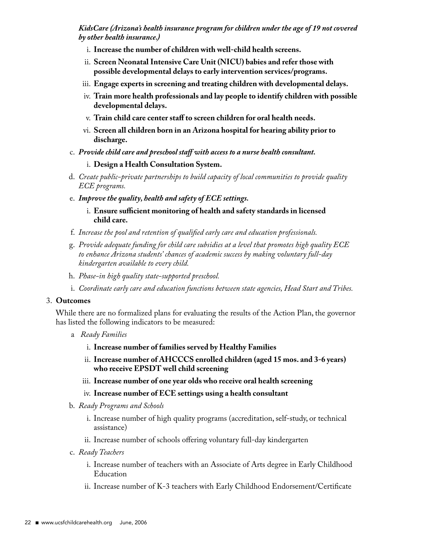#### *KidsCare (Arizona's health insurance program for children under the age of 19 not covered by other health insurance.)*

- i. **Increase the number of children with well-child health screens.**
- ii. **Screen Neonatal Intensive Care Unit (NICU) babies and refer those with possible developmental delays to early intervention services/programs.**
- iii. **Engage experts in screening and treating children with developmental delays.**
- iv. **Train more health professionals and lay people to identify children with possible developmental delays.**
- v. **Train child care center staff to screen children for oral health needs.**
- vi. **Screen all children born in an Arizona hospital for hearing ability prior to discharge.**
- c. *Provide child care and preschool staff with access to a nurse health consultant.*

#### i. **Design a Health Consultation System.**

- d. *Create public-private partnerships to build capacity of local communities to provide quality ECE programs.*
- e. *Improve the quality, health and safety of ECE settings.*
	- i. **Ensure sufficient monitoring of health and safety standards in licensed child care.**
- f. *Increase the pool and retention of qualified early care and education professionals.*
- g. *Provide adequate funding for child care subsidies at a level that promotes high quality ECE to enhance Arizona students' chances of academic success by making voluntary full-day kindergarten available to every child.*
- h. *Phase-in high quality state-supported preschool.*
- i. *Coordinate early care and education functions between state agencies, Head Start and Tribes.*

#### 3. **Outcomes**

 While there are no formalized plans for evaluating the results of the Action Plan, the governor has listed the following indicators to be measured:

- a *Ready Families*
	- i. **Increase number of families served by Healthy Families**
	- ii. **Increase number of AHCCCS enrolled children (aged 15 mos. and 3-6 years) who receive EPSDT well child screening**
	- iii. **Increase number of one year olds who receive oral health screening**
	- iv. **Increase number of ECE settings using a health consultant**
- b. *Ready Programs and Schools*
	- i. Increase number of high quality programs (accreditation, self-study, or technical assistance)
	- ii. Increase number of schools offering voluntary full-day kindergarten
- c. *Ready Teachers*
	- i. Increase number of teachers with an Associate of Arts degree in Early Childhood Education
	- ii. Increase number of K-3 teachers with Early Childhood Endorsement/Certificate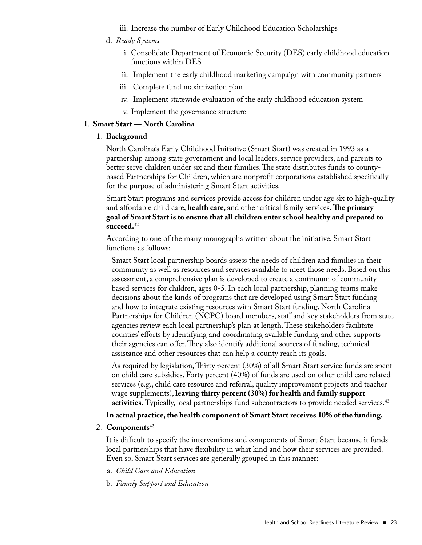- iii. Increase the number of Early Childhood Education Scholarships
- d. *Ready Systems*
	- i. Consolidate Department of Economic Security (DES) early childhood education functions within DES
	- ii. Implement the early childhood marketing campaign with community partners
	- iii. Complete fund maximization plan
	- iv. Implement statewide evaluation of the early childhood education system
	- v. Implement the governance structure

#### I. **Smart Start — North Carolina**

1. **Background**

 North Carolina's Early Childhood Initiative (Smart Start) was created in 1993 as a partnership among state government and local leaders, service providers, and parents to better serve children under six and their families. The state distributes funds to countybased Partnerships for Children, which are nonprofit corporations established specifically for the purpose of administering Smart Start activities.

 Smart Start programs and services provide access for children under age six to high-quality and affordable child care, **health care,** and other critical family services. **The primary goal of Smart Start is to ensure that all children enter school healthy and prepared to succeed.**<sup>42</sup>

 According to one of the many monographs written about the initiative, Smart Start functions as follows:

 Smart Start local partnership boards assess the needs of children and families in their community as well as resources and services available to meet those needs. Based on this assessment, a comprehensive plan is developed to create a continuum of communitybased services for children, ages 0-5. In each local partnership, planning teams make decisions about the kinds of programs that are developed using Smart Start funding and how to integrate existing resources with Smart Start funding. North Carolina Partnerships for Children (NCPC) board members, staff and key stakeholders from state agencies review each local partnership's plan at length. These stakeholders facilitate counties' efforts by identifying and coordinating available funding and other supports their agencies can offer. They also identify additional sources of funding, technical assistance and other resources that can help a county reach its goals.

 As required by legislation, Thirty percent (30%) of all Smart Start service funds are spent on child care subsidies. Forty percent (40%) of funds are used on other child care related services (e.g., child care resource and referral, quality improvement projects and teacher wage supplements), **leaving thirty percent (30%) for health and family support activities.** Typically, local partnerships fund subcontractors to provide needed services.<sup>43</sup>

#### In actual practice, the health component of Smart Start receives 10% of the funding.

#### 2. **Components**<sup>42</sup>

 It is difficult to specify the interventions and components of Smart Start because it funds local partnerships that have flexibility in what kind and how their services are provided. Even so, Smart Start services are generally grouped in this manner:

- a. *Child Care and Education*
- b. *Family Support and Education*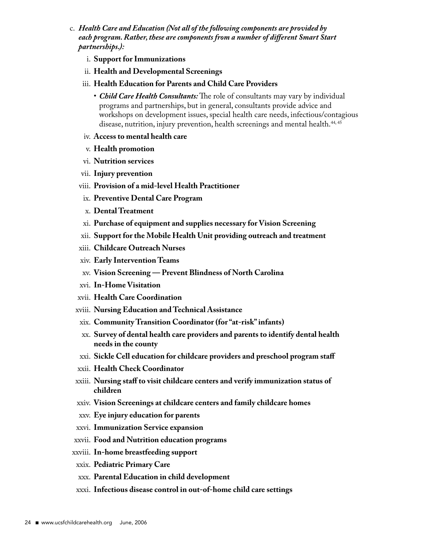- c. *Health Care and Education (Not all of the following components are provided by each program. Rather, these are components from a number of different Smart Start partnerships.):*
	- i. **Support for Immunizations**
	- ii. **Health and Developmental Screenings**
	- iii. **Health Education for Parents and Child Care Providers**
		- *Child Care Health Consultants:* The role of consultants may vary by individual programs and partnerships, but in general, consultants provide advice and workshops on development issues, special health care needs, infectious/contagious disease, nutrition, injury prevention, health screenings and mental health.<sup>44,45</sup>
	- iv. **Access to mental health care**
	- v. **Health promotion**
	- vi. **Nutrition services**
	- vii. **Injury prevention**
	- viii. **Provision of a mid-level Health Practitioner**
	- ix. **Preventive Dental Care Program**
	- x. **Dental Treatment**
	- xi. **Purchase of equipment and supplies necessary for Vision Screening**
	- xii. **Support for the Mobile Health Unit providing outreach and treatment**
	- xiii. **Childcare Outreach Nurses**
	- xiv. **Early Intervention Teams**
	- xv. **Vision Screening — Prevent Blindness of North Carolina**
	- xvi. **In-Home Visitation**
	- xvii. **Health Care Coordination**
	- xviii. **Nursing Education and Technical Assistance**
	- xix. **Community Transition Coordinator (for "at-risk" infants)**
	- xx. **Survey of dental health care providers and parents to identify dental health needs in the county**
	- xxi. **Sickle Cell education for childcare providers and preschool program staff**
	- xxii. **Health Check Coordinator**
	- xxiii. **Nursing staff to visit childcare centers and verify immunization status of children**
	- xxiv. **Vision Screenings at childcare centers and family childcare homes**
	- xxv. **Eye injury education for parents**
	- xxvi. **Immunization Service expansion**
	- xxvii. **Food and Nutrition education programs**
- xxviii. **In-home breastfeeding support**
- xxix. **Pediatric Primary Care**
- xxx. **Parental Education in child development**
- xxxi. **Infectious disease control in out-of-home child care settings**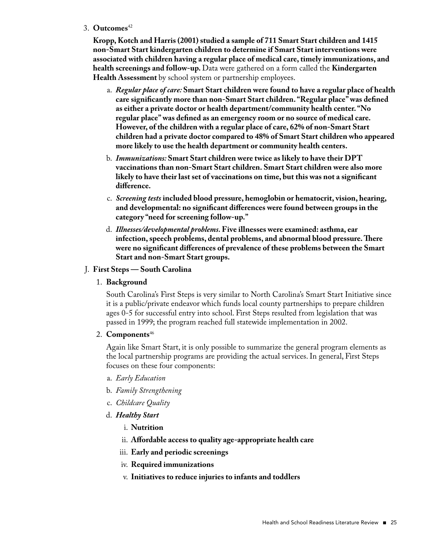#### 3. **Outcomes**<sup>42</sup>

 **Kropp, Kotch and Harris (2001) studied a sample of 711 Smart Start children and 1415 non-Smart Start kindergarten children to determine if Smart Start interventions were associated with children having a regular place of medical care,timely immunizations, and health screenings and follow-up.** Data were gathered on a form called the **Kindergarten Health Assessment** by school system or partnership employees.

- a. *Regular place of care:* **Smart Start children were found to have a regular place of health care significantly more than non-Smart Start children. "Regular place"was defined as either a private doctor or health department/community health center. "No regular place"was defined as an emergency room or no source of medical care. However, of the children with a regular place of care, 62% of non-Smart Start children had a private doctor compared to 48% of Smart Start children who appeared more likely to use the health department or community health centers.**
- b. *Immunizations:* **Smart Start children were twice as likely to have their DPT vaccinations than non-Smart Start children. Smart Start children were also more likely to have their last set of vaccinations on time, but this was not a significant difference.**
- c. *Screening tests* **included blood pressure, hemoglobin or hematocrit, vision, hearing, and developmental: no significant differences were found between groups in the category "need for screening follow-up."**
- d. *Illnesses/developmental problems.* **Five illnesses were examined: asthma, ear infection,speech problems, dental problems, and abnormal blood pressure.There were no significant differences of prevalence of these problems between the Smart Start and non-Smart Start groups.**

#### J. **First Steps — South Carolina**

#### 1. **Background**

 South Carolina's First Steps is very similar to North Carolina's Smart Start Initiative since it is a public/private endeavor which funds local county partnerships to prepare children ages 0-5 for successful entry into school. First Steps resulted from legislation that was passed in 1999; the program reached full statewide implementation in 2002.

#### 2. **Components**<sup>46</sup>

 Again like Smart Start, it is only possible to summarize the general program elements as the local partnership programs are providing the actual services. In general, First Steps focuses on these four components:

- a. *Early Education*
- b. *Family Strengthening*
- c. *Childcare Quality*
- d. *Healthy Start*
	- i. **Nutrition**
	- ii. **Affordable access to quality age-appropriate health care**
	- iii. **Early and periodic screenings**
	- iv. **Required immunizations**
	- v. **Initiatives to reduce injuries to infants and toddlers**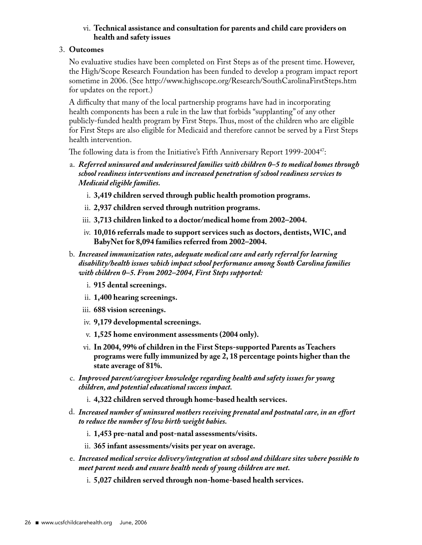#### vi. **Technical assistance and consultation for parents and child care providers on health and safety issues**

#### 3. **Outcomes**

 No evaluative studies have been completed on First Steps as of the present time. However, the High/Scope Research Foundation has been funded to develop a program impact report sometime in 2006. (See http://www.highscope.org/Research/SouthCarolinaFirstSteps.htm for updates on the report.)

 A difficulty that many of the local partnership programs have had in incorporating health components has been a rule in the law that forbids "supplanting" of any other publicly-funded health program by First Steps. Thus, most of the children who are eligible for First Steps are also eligible for Medicaid and therefore cannot be served by a First Steps health intervention.

The following data is from the Initiative's Fifth Anniversary Report 1999-2004<sup>47</sup>:

- a. *Referred uninsured and underinsured families with children 0–5 to medical homes through school readiness interventions and increased penetration of school readiness services to Medicaid eligible families.*
	- i. **3,419 children served through public health promotion programs.**
	- ii. **2,937 children served through nutrition programs.**
	- iii. **3,713 children linked to a doctor/medical home from 2002–2004.**
	- iv. **10,016 referrals made to support services such as doctors, dentists,WIC, and BabyNet for 8,094 families referred from 2002–2004.**
- b. *Increased immunization rates, adequate medical care and early referral for learning disability/health issues which impact school performance among South Carolina families with children 0–5. From 2002–2004, First Steps supported:*
	- i. **915 dental screenings.**
	- ii. **1,400 hearing screenings.**
	- iii. **688 vision screenings.**
	- iv. **9,179 developmental screenings.**
	- v. **1,525 home environment assessments (2004 only).**
	- vi. **In 2004, 99% of children in the First Steps-supported Parents as Teachers programs were fully immunized by age 2, 18 percentage points higher than the state average of 81%.**
- c. *Improved parent/caregiver knowledge regarding health and safety issues for young children, and potential educational success impact.*
	- i. **4,322 children served through home-based health services.**
- d. *Increased number of uninsured mothers receiving prenatal and postnatal care, in an effort to reduce the number of low birth weight babies.*
	- i. **1,453 pre-natal and post-natal assessments/visits.**
	- ii. **365 infant assessments/visits per year on average.**
- e. *Increased medical service delivery/integration at school and childcare sites where possible to meet parent needs and ensure health needs of young children are met.*
	- i. **5,027 children served through non-home-based health services.**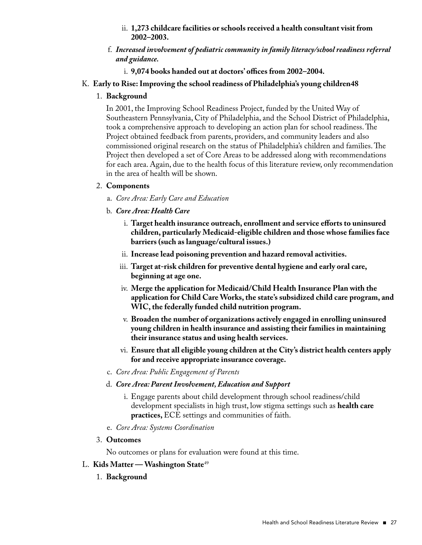- ii. **1,273 childcare facilities or schools received a health consultant visit from 2002–2003.**
- f. *Increased involvement of pediatric community in family literacy/school readiness referral and guidance.*
	- i. **9,074 books handed out at doctors' offices from 2002–2004.**

#### K. **Early to Rise: Improving the school readiness of Philadelphia's young children48**

#### 1. **Background**

 In 2001, the Improving School Readiness Project, funded by the United Way of Southeastern Pennsylvania, City of Philadelphia, and the School District of Philadelphia, took a comprehensive approach to developing an action plan for school readiness. The Project obtained feedback from parents, providers, and community leaders and also commissioned original research on the status of Philadelphia's children and families. The Project then developed a set of Core Areas to be addressed along with recommendations for each area. Again, due to the health focus of this literature review, only recommendation in the area of health will be shown.

#### 2. **Components**

- a. *Core Area: Early Care and Education*
- b. *Core Area: Health Care*
	- i. **Target health insurance outreach, enrollment and service efforts to uninsured children, particularly Medicaid-eligible children and those whose families face barriers (such as language/cultural issues.)**
	- ii. **Increase lead poisoning prevention and hazard removal activities.**
	- iii. **Target at-risk children for preventive dental hygiene and early oral care, beginning at age one.**
	- iv. **Merge the application for Medicaid/Child Health Insurance Plan with the application for Child Care Works,the state's subsidized child care program, and WIC,the federally funded child nutrition program.**
	- v. **Broaden the number of organizations actively engaged in enrolling uninsured young children in health insurance and assisting their families in maintaining their insurance status and using health services.**
	- vi. **Ensure that all eligible young children at the City's district health centers apply for and receive appropriate insurance coverage.**
- c. *Core Area: Public Engagement of Parents*
- d. *Core Area: Parent Involvement, Education and Support*
	- i. Engage parents about child development through school readiness/child development specialists in high trust, low stigma settings such as **health care practices,**ECE settings and communities of faith.
- e. *Core Area: Systems Coordination*
- 3. **Outcomes**

No outcomes or plans for evaluation were found at this time.

#### L. **Kids Matter — Washington State**<sup>49</sup>

1. **Background**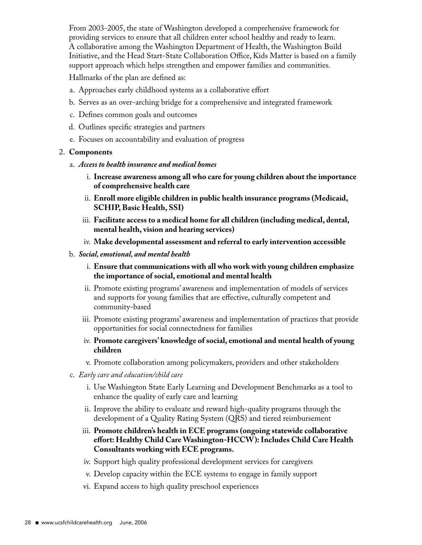From 2003-2005, the state of Washington developed a comprehensive framework for providing services to ensure that all children enter school healthy and ready to learn. A collaborative among the Washington Department of Health, the Washington Build Initiative, and the Head Start-State Collaboration Office, Kids Matter is based on a family support approach which helps strengthen and empower families and communities.

Hallmarks of the plan are defined as:

- a. Approaches early childhood systems as a collaborative effort
- b. Serves as an over-arching bridge for a comprehensive and integrated framework
- c. Defines common goals and outcomes
- d. Outlines specific strategies and partners
- e. Focuses on accountability and evaluation of progress

#### 2. **Components**

- a. *Access to health insurance and medical homes*
	- i. **Increase awareness among all who care for young children about the importance of comprehensive health care**
	- ii. **Enroll more eligible children in public health insurance programs (Medicaid, SCHIP,Basic Health, SSI)**
	- iii. **Facilitate access to a medical home for all children (including medical, dental, mental health, vision and hearing services)**
	- iv. **Make developmental assessment and referral to early intervention accessible**
- b. *Social, emotional, and mental health*
	- i. **Ensure that communications with all who work with young children emphasize the importance of social, emotional and mental health**
	- ii. Promote existing programs' awareness and implementation of models of services and supports for young families that are effective, culturally competent and community-based
	- iii. Promote existing programs' awareness and implementation of practices that provide opportunities for social connectedness for families
	- iv. **Promote caregivers' knowledge of social, emotional and mental health of young children**
	- v. Promote collaboration among policymakers, providers and other stakeholders
- c. *Early care and education/child care*
	- i. Use Washington State Early Learning and Development Benchmarks as a tool to enhance the quality of early care and learning
	- ii. Improve the ability to evaluate and reward high-quality programs through the development of a Quality Rating System (QRS) and tiered reimbursement
	- iii. **Promote children's health in ECE programs (ongoing statewide collaborative effort: Healthy Child Care Washington-HCCW): Includes Child Care Health Consultants working with ECE programs.**
	- iv. Support high quality professional development services for caregivers
	- v. Develop capacity within the ECE systems to engage in family support
	- vi. Expand access to high quality preschool experiences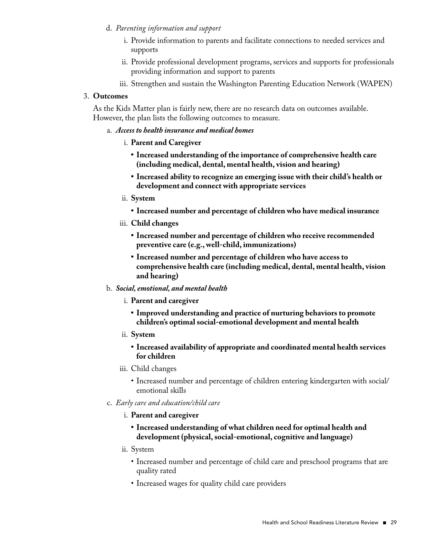- d. *Parenting information and support*
	- i. Provide information to parents and facilitate connections to needed services and supports
	- ii. Provide professional development programs, services and supports for professionals providing information and support to parents
	- iii. Strengthen and sustain the Washington Parenting Education Network (WAPEN)

#### 3. **Outcomes**

 As the Kids Matter plan is fairly new, there are no research data on outcomes available. However, the plan lists the following outcomes to measure.

#### a. *Access to health insurance and medical homes*

- i. **Parent and Caregiver**
	- **• Increased understanding of the importance of comprehensive health care (including medical, dental, mental health, vision and hearing)**
	- **• Increased ability to recognize an emerging issue with their child's health or development and connect with appropriate services**
- ii. **System**
	- **• Increased number and percentage of children who have medical insurance**
- iii. **Child changes**
	- **• Increased number and percentage of children who receive recommended preventive care (e.g.,well-child, immunizations)**
	- **• Increased number and percentage of children who have access to comprehensive health care (including medical, dental, mental health, vision and hearing)**
- b. *Social, emotional, and mental health* 
	- i. **Parent and caregiver**
		- **• Improved understanding and practice of nurturing behaviors to promote children's optimal social-emotional development and mental health**
	- ii. **System**
		- **• Increased availability of appropriate and coordinated mental health services for children**
	- iii. Child changes
		- Increased number and percentage of children entering kindergarten with social/ emotional skills
- c. *Early care and education/child care*
	- i. **Parent and caregiver**
		- **• Increased understanding of what children need for optimal health and development (physical,social-emotional, cognitive and language)**
	- ii. System
		- Increased number and percentage of child care and preschool programs that are quality rated
		- Increased wages for quality child care providers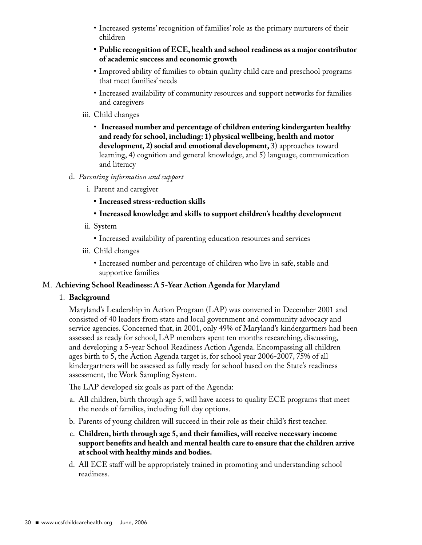- Increased systems' recognition of families' role as the primary nurturers of their children
- **• Public recognition of ECE, health and school readiness as a major contributor of academic success and economic growth**
- Improved ability of families to obtain quality child care and preschool programs that meet families' needs
- Increased availability of community resources and support networks for families and caregivers
- iii. Child changes
	- **Increased number and percentage of children entering kindergarten healthy and ready for school, including: 1) physical wellbeing, health and motor development, 2) social and emotional development,** 3) approaches toward learning, 4) cognition and general knowledge, and 5) language, communication and literacy
- d. *Parenting information and support*
	- i. Parent and caregiver
		- **• Increased stress-reduction skills**
		- **• Increased knowledge and skills to support children's healthy development**
	- ii. System
		- Increased availability of parenting education resources and services
	- iii. Child changes
		- Increased number and percentage of children who live in safe, stable and supportive families

#### M. **Achieving School Readiness: A 5-Year Action Agenda for Maryland**

1. **Background**

 Maryland's Leadership in Action Program (LAP) was convened in December 2001 and consisted of 40 leaders from state and local government and community advocacy and service agencies. Concerned that, in 2001, only 49% of Maryland's kindergartners had been assessed as ready for school, LAP members spent ten months researching, discussing, and developing a 5-year School Readiness Action Agenda. Encompassing all children ages birth to 5, the Action Agenda target is, for school year 2006-2007, 75% of all kindergartners will be assessed as fully ready for school based on the State's readiness assessment, the Work Sampling System.

The LAP developed six goals as part of the Agenda:

- a. All children, birth through age 5, will have access to quality ECE programs that meet the needs of families, including full day options.
- b. Parents of young children will succeed in their role as their child's first teacher.
- c. **Children, birth through age 5, and their families,will receive necessary income support benefits and health and mental health care to ensure that the children arrive at school with healthy minds and bodies.**
- d. All ECE staff will be appropriately trained in promoting and understanding school readiness.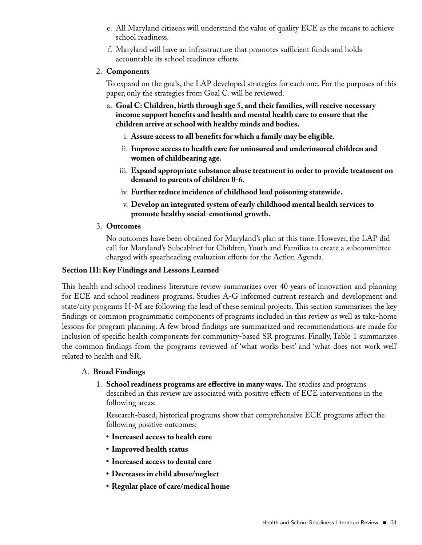- e. All Maryland citizens will understand the value of quality ECE as the means to achieve school readiness.
- f. Maryland will have an infrastructure that promotes sufficient funds and holds accountable its school readiness efforts.

#### 2. **Components**

 To expand on the goals, the LAP developed strategies for each one. For the purposes of this paper, only the strategies from Goal C. will be reviewed.

- a. **Goal C: Children, birth through age 5, and their families,will receive necessary income support benefits and health and mental health care to ensure that the children arrive at school with healthy minds and bodies.**
	- i. **Assure access to all benefits for which a family may be eligible.**
	- ii. **Improve access to health care for uninsured and underinsured children and women of childbearing age.**
	- iii. **Expand appropriate substance abuse treatment in order to provide treatment on demand to parents of children 0-6.**
	- iv. **Further reduce incidence of childhood lead poisoning statewide.**
	- v. **Develop an integrated system of early childhood mental health services to promote healthy social-emotional growth.**
- 3. **Outcomes**

 No outcomes have been obtained for Maryland's plan at this time. However, the LAP did call for Maryland's Subcabinet for Children, Youth and Families to create a subcommittee charged with spearheading evaluation efforts for the Action Agenda.

#### **Section III: Key Findings and Lessons Learned**

This health and school readiness literature review summarizes over 40 years of innovation and planning for ECE and school readiness programs. Studies A-G informed current research and development and state/city programs H-M are following the lead of these seminal projects. This section summarizes the key findings or common programmatic components of programs included in this review as well as take-home lessons for program planning. A few broad findings are summarized and recommendations are made for inclusion of specific health components for community-based SR programs. Finally, Table 1 summarizes the common findings from the programs reviewed of 'what works best' and 'what does not work well' related to health and SR.

#### A. **Broad Findings**

1. **School readiness programs are effective in many ways.**The studies and programs described in this review are associated with positive effects of ECE interventions in the following areas:

 Research-based, historical programs show that comprehensive ECE programs affect the following positive outcomes:

- **• Increased access to health care**
- **• Improved health status**
- **• Increased access to dental care**
- **• Decreases in child abuse/neglect**
- **• Regular place of care/medical home**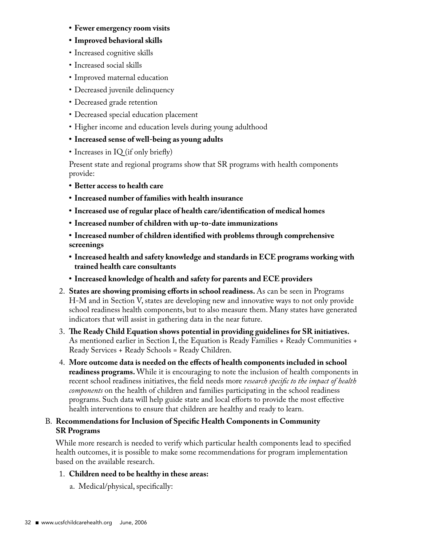- **• Fewer emergency room visits**
- **• Improved behavioral skills**
- Increased cognitive skills
- Increased social skills
- Improved maternal education
- Decreased juvenile delinquency
- Decreased grade retention
- Decreased special education placement
- Higher income and education levels during young adulthood
- **• Increased sense of well-being as young adults**
- Increases in IQ (if only briefly)

 Present state and regional programs show that SR programs with health components provide:

- **• Better access to health care**
- **• Increased number of families with health insurance**
- **• Increased use of regular place of health care/identification of medical homes**
- **• Increased number of children with up-to-date immunizations**
- **• Increased number of children identified with problems through comprehensive screenings**
- **• Increased health and safety knowledge and standards in ECE programs working with trained health care consultants**
- **• Increased knowledge of health and safety for parents and ECE providers**
- 2. **States are showing promising efforts in school readiness.** As can be seen in Programs H-M and in Section V, states are developing new and innovative ways to not only provide school readiness health components, but to also measure them. Many states have generated indicators that will assist in gathering data in the near future.
- 3. **The Ready Child Equation shows potential in providing guidelines for SR initiatives.** As mentioned earlier in Section I, the Equation is Ready Families + Ready Communities + Ready Services + Ready Schools = Ready Children.
- 4. **More outcome data is needed on the effects of health components included in school readiness programs.**While it is encouraging to note the inclusion of health components in recent school readiness initiatives, the field needs more *research specific to the impact of health components* on the health of children and families participating in the school readiness programs. Such data will help guide state and local efforts to provide the most effective health interventions to ensure that children are healthy and ready to learn.

#### B. **Recommendations for Inclusion of Specific Health Components in Community SR Programs**

 While more research is needed to verify which particular health components lead to specified health outcomes, it is possible to make some recommendations for program implementation based on the available research.

#### 1. **Children need to be healthy in these areas:**

a. Medical/physical, specifically: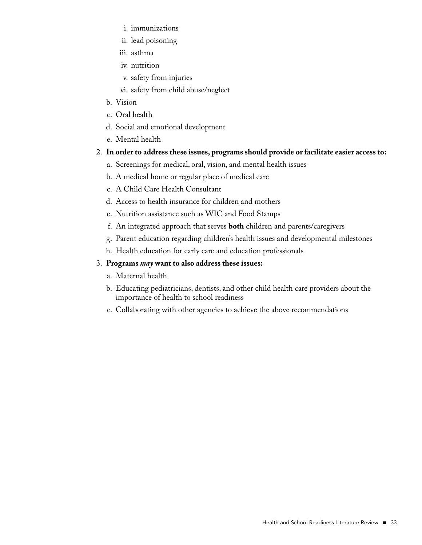- i. immunizations
- ii. lead poisoning
- iii. asthma
- iv. nutrition
- v. safety from injuries
- vi. safety from child abuse/neglect
- b. Vision
- c. Oral health
- d. Social and emotional development
- e. Mental health
- 2. **In order to address these issues, programs should provide or facilitate easier access to:**
	- a. Screenings for medical, oral, vision, and mental health issues
	- b. A medical home or regular place of medical care
	- c. A Child Care Health Consultant
	- d. Access to health insurance for children and mothers
	- e. Nutrition assistance such as WIC and Food Stamps
	- f. An integrated approach that serves **both** children and parents/caregivers
	- g. Parent education regarding children's health issues and developmental milestones
	- h. Health education for early care and education professionals

#### 3. **Programs** *may* **want to also address these issues:**

- a. Maternal health
- b. Educating pediatricians, dentists, and other child health care providers about the importance of health to school readiness
- c. Collaborating with other agencies to achieve the above recommendations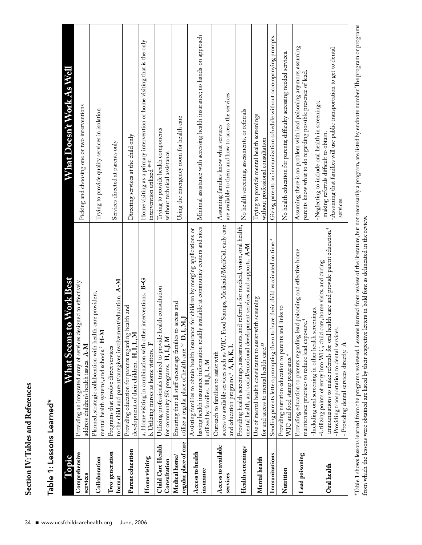| Ï |
|---|
| ī |
| ť |
|   |
|   |
| ı |
| Í |
| į |
| i |
|   |
|   |
|   |
|   |
| r |
|   |
|   |
|   |
|   |

| Topic                                  | s to Work Best<br>What Seem                                                                                                                                                                                                                                                                                                            | What Doesn't Work As Well                                                                                                                                                          |
|----------------------------------------|----------------------------------------------------------------------------------------------------------------------------------------------------------------------------------------------------------------------------------------------------------------------------------------------------------------------------------------|------------------------------------------------------------------------------------------------------------------------------------------------------------------------------------|
| Comprehensive<br>services              | designed to effectively<br>Providing an integrated array of services<br>address children's health issues. A-M                                                                                                                                                                                                                          | Picking and choosing one or two interventions                                                                                                                                      |
| Collaboration                          | Planned, strategic collaboration with health care providers,<br>mental health systems, and schools. <sup>7</sup> H-M                                                                                                                                                                                                                   | Trying to provide quality services in isolation                                                                                                                                    |
| Two-generation<br>format               | to the child and parent/caregiver, involvement/education. A-M<br>Programs that involve direct services                                                                                                                                                                                                                                 | Services directed at parents only                                                                                                                                                  |
| Parent education                       | Providing education for parents regarding health and<br>development of their children. H, I, L, M                                                                                                                                                                                                                                      | Directing services at the child only                                                                                                                                               |
| Home visiting                          | a. Home visiting in combination with other interventions. B-G<br>b. Utilizing nurses as home visitors. F                                                                                                                                                                                                                               | Home visiting as a primary intervention or home visiting that is the only<br>intervention utilized <sup>49-51</sup>                                                                |
| Child Care Health<br>Consultation      | Utilizing professionals trained to provide health consultation<br>for community SR programs. H, I, J, M                                                                                                                                                                                                                                | Trying to provide health components<br>without technical assistance                                                                                                                |
| regular place of care<br>Medical home/ | to access and<br>utilize a regular place of health care. <sup>52</sup> D, I, M, J<br>Ensuring that all staff encourage families                                                                                                                                                                                                        | Using the emergency room for health care                                                                                                                                           |
| Access to health<br>insurance          | having health insurance information readily available at community centers and sites<br>Assisting families to obtain health insurance for children by merging applications or<br>utilized by families. H, J, L, M                                                                                                                      | Minimal assistance with accessing health insurance; no hands-on approach                                                                                                           |
| Access to available<br>services        | Food Stamps, Medicaid/MediCal, early care<br>access to available services such as WIC,<br>and education programs. <sup>4</sup> A, B, K, L<br>Outreach to families to assist with                                                                                                                                                       | are available to them and how to access the services<br>Assuming families know what services                                                                                       |
| Health screenings                      | and referrals for medical, vision, oral health,<br>mental health, and social/emotional development services and supports. A-M<br>Providing health screenings, assessments,                                                                                                                                                             | No health screening, assessments, or referrals                                                                                                                                     |
| Mental health                          | Use of mental health consultants to assist with screening<br>for and access to mental health care. <sup>53</sup>                                                                                                                                                                                                                       | Trying to provide mental health screenings<br>without professional consultation                                                                                                    |
| Immunizations                          | to have their child vaccinated on time. <sup>4</sup><br>Sending parents letters prompting them                                                                                                                                                                                                                                         | Giving parents an immunization schedule without accompanying prompts.                                                                                                              |
| Nutrition                              | and links to<br>Providing nutrition education to parents<br>WIC and food stamp programs. <sup>4</sup>                                                                                                                                                                                                                                  | No health education for parents; difficulty accessing needed services.                                                                                                             |
| Lead poisoning                         | Providing education to parents regarding lead poisoning and effective home<br>maintenance practices to reduce lead exposure.                                                                                                                                                                                                           | Assuming there is no problem with lead poisoning anymore; assuming<br>parents know what to do regarding possible presence of lead.                                                 |
| Oral health                            | immunizations to make referrals for oral health care and provide parent education. <sup>4</sup><br>-Utilizing points of entry into WIC, child care, home visits, and during<br>screenings.<br>-Providing transportation to dental services.<br>-Including oral screening in other health<br>⋖<br>- Providing dental services directly. | -Assuming that families will use public transportation to get to dental<br>-Neglecting to include oral health in screenings;<br>making referrals difficult to obtain.<br>services. |

\*Table 1 shows lessons learned from the programs reviewed. Lessons learned from review of the literature, but not necessarily a program, are listed by endnote number. The program or programs from which the lessons were obt \*Table 1 shows lessons learned from the programs reviewed. Lessons learned from review of the literature, but not necessarily a program, are listed by endnote number. The program or programs from which the lessons were obtained are listed by their respective letters in bold font as delineated in the review.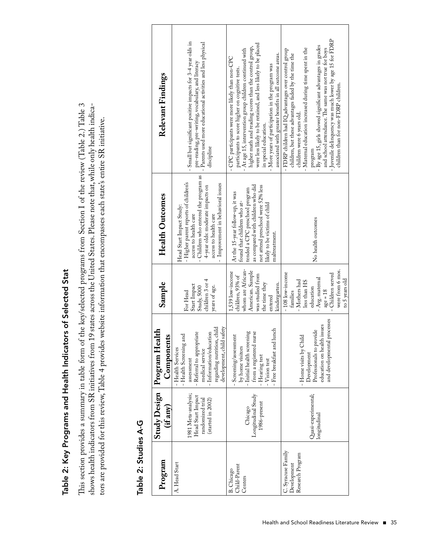# Table 2: Key Programs and Health Indicators of Selected Stat Table 2: Key Programs and Health Indicators of Selected Stat

This section provides a summary in table form of the key/selected programs from Section I of the review (Table 2.) Table 3 This section provides a summary in table form of the key/selected programs from Section I of the review (Table 2.) Table 3 shows health indicators from SR initiatives from 19 states across the United States. Please note that, while only health indicashows health indicators from SR initiatives from 19 states across the United States. Please note that, while only health indicators are provided for this review, Table 4 provides website information that encompasses each state's entire SR initiative. tors are provided for this review, Table 4 provides website information that encompasses each state's entire SR initiative.

|                             | Relevant Findings               | Small but significant positive impacts for 3-4 year olds in<br>pre-reading, pre-writing, vocabulary, and literacy<br>- Parents used more educational activities and less physical                                                    | were less likely to be retained, and less likely to be placed<br>higher math and reading scores than the control group,<br>At age 15, intervention group children continued with<br>associated with greater benefits in all outcome areas.<br>- CPC participants were more likely than non-CPC<br>- More years of participation in the program was<br>participants to score higher on cognitive tests. | - Juvenile delinquency was much lower by age 15 for FDRP<br>- By age 15, girls showed significant advantages in grades<br>Maternal education increased during time spent in the<br>and school attendance. The same was not true for boys<br>- FDRP children had IQ advantages over control group<br>children, but these advantages faded by the time the |
|-----------------------------|---------------------------------|--------------------------------------------------------------------------------------------------------------------------------------------------------------------------------------------------------------------------------------|--------------------------------------------------------------------------------------------------------------------------------------------------------------------------------------------------------------------------------------------------------------------------------------------------------------------------------------------------------------------------------------------------------|----------------------------------------------------------------------------------------------------------------------------------------------------------------------------------------------------------------------------------------------------------------------------------------------------------------------------------------------------------|
|                             |                                 | discipline                                                                                                                                                                                                                           | in special education.                                                                                                                                                                                                                                                                                                                                                                                  | children than for non-FDRP children.<br>children were 6 years old.<br>program                                                                                                                                                                                                                                                                            |
|                             | <b>Health Outcomes</b>          | Children who entered the program as<br>- Higher parent reports of children's<br>- Improvement in behavioral issues<br>4-year olds: moderate impacts on<br>Head Start Impact Study:<br>access to health care<br>access to health care | as compared with children who did<br>not attend preschool were 52% less<br>tended a CPC preschool program<br>At the 15-year follow-up, it was<br>found that children who at-<br>likely to be victims of child<br>maltreatment.                                                                                                                                                                         | No health outcomes                                                                                                                                                                                                                                                                                                                                       |
|                             | Sample                          | children 3 or 4<br>Start Impact<br>years of age.<br>Study, 5000<br>For Head                                                                                                                                                          | whom are African-<br>American. Sample<br>1,539 low-income<br>was studied from<br>children, 93% of<br>kindergarten.<br>the time they<br>entered                                                                                                                                                                                                                                                         | were from 6 mos.<br>$-108$ low-income<br>- Children served<br>Avg. maternal<br>to 5 years old<br>- Mothers had<br>less than HS<br>education<br>$age = 18$<br>families                                                                                                                                                                                    |
|                             | Program Health<br>Components    | development, child safety<br>regarding nutrition, child<br>$-$ Information/education<br>Referral to appropriate<br>- Health Screening and<br>- Health Services<br>medical service<br>assessment                                      | Free breakfast and lunch<br>- Initial health screening<br>nurse<br>Screening/assessment<br>by home visitors<br>from a registered<br>Hearing test<br>Vision test                                                                                                                                                                                                                                        | and developmental processes<br>education on health issues<br>Professionals to provide<br>- Home visits by Child<br>Development                                                                                                                                                                                                                           |
|                             | <b>Study Design</b><br>(if any) | 1981 Meta-analysis;<br>Head Start Impact<br>randomized trial<br>(started in 2002)                                                                                                                                                    | Longitudinal Study<br>1986-present<br>Chicago                                                                                                                                                                                                                                                                                                                                                          | Quasi-experimental;<br>longitudinal                                                                                                                                                                                                                                                                                                                      |
| <b>Jable 2: 2tudies A-5</b> | Program                         | A. Head Start                                                                                                                                                                                                                        | Child-Parent<br>B. Chicago<br>Centers                                                                                                                                                                                                                                                                                                                                                                  | C. Syracuse Family<br>Research Program<br>Development                                                                                                                                                                                                                                                                                                    |

#### $\mathbf C$ Table 2: Studies A-G k Ė đ  $\dot{\mathbf{c}}$  $\frac{1}{2}$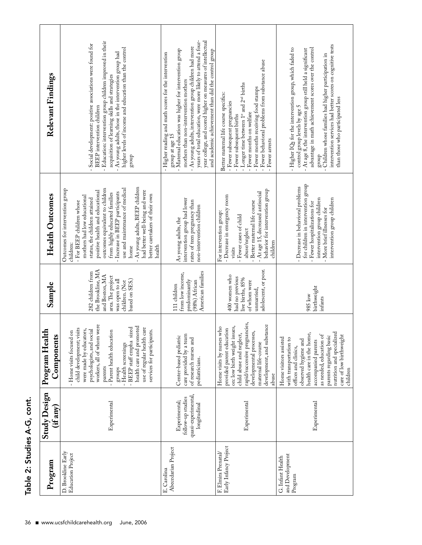| Sample<br>Program Health<br>Components<br><b>Study Design</b><br>(i f a n v) | As young adults, BEEP children<br>use and maintenance of medical<br>outcomes equivalent to children<br>Outcomes for intervention group<br>had better well-being and were<br>positive health and educational<br>Increase in BEEP participants<br>from highly educated families<br>better caretakers of their own<br>mothers had low educational<br>status, the children attained<br>- For BEEP children whose<br>children:<br>health<br>home<br>the Brookline, MA<br>282 children from<br>and Boston, MA<br>area. The project<br>was open to all<br>based on SES.)<br>children. (Not<br>workers, all of whom were<br>health care and promoted<br>use of regular health care<br>- BEEP staff empha sized<br>child development; visits<br>were made by educators,<br>psychologists, and social<br>services for participants.<br>Parent health education<br>- Home visits focused on<br>- Health screenings<br>parents<br>groups<br>Experimental | intervention group had lower<br>rates of teen pregnancy than<br>non-intervention children<br>As young adults, the<br>American families<br>from low income,<br>predominantly<br>(98%) African<br>111 children<br>care provided by a team<br>Center-based pediatric<br>of research nurses and<br>pediatricians.<br>quasi-experimental,<br>follow-up studies<br>Experimental;<br>longitudinal | behavior for intervention group<br>- At age 15, decreased antisocial<br>- Decrease in emergency room<br>Better maternal life course<br>For intervention group:<br>- Fewer cases of child<br>abuse/neglect<br>children<br>visits<br>adolescent, or poor.<br>400 women who<br>had no previous<br>live births, 85%<br>of whom were<br>unmarried,<br>rapid/successive pregnancies,<br>development, and substance<br>on: low birth weight issues,<br>Home visits by nurses who<br>provided parent education<br>developmental processes,<br>child abuse and neglect,<br>maternal life-course<br>abuse<br>Experimental | for children in intervention group<br>Decrease in behavioral problems<br>intervention group children<br>- Fewer hospitalizations for<br>More brief illnesses for<br>birthweight<br>985 low<br>infants<br>health care in the home,<br>as needed, education of<br>Home visitors assisted<br>with transportation to<br>observed hygiene and<br>accompanied parents<br>offices and clinics,<br>Experimental |
|------------------------------------------------------------------------------|----------------------------------------------------------------------------------------------------------------------------------------------------------------------------------------------------------------------------------------------------------------------------------------------------------------------------------------------------------------------------------------------------------------------------------------------------------------------------------------------------------------------------------------------------------------------------------------------------------------------------------------------------------------------------------------------------------------------------------------------------------------------------------------------------------------------------------------------------------------------------------------------------------------------------------------------|--------------------------------------------------------------------------------------------------------------------------------------------------------------------------------------------------------------------------------------------------------------------------------------------------------------------------------------------------------------------------------------------|-----------------------------------------------------------------------------------------------------------------------------------------------------------------------------------------------------------------------------------------------------------------------------------------------------------------------------------------------------------------------------------------------------------------------------------------------------------------------------------------------------------------------------------------------------------------------------------------------------------------|---------------------------------------------------------------------------------------------------------------------------------------------------------------------------------------------------------------------------------------------------------------------------------------------------------------------------------------------------------------------------------------------------------|
| D. Brookline Early<br>Program                                                | Education Project                                                                                                                                                                                                                                                                                                                                                                                                                                                                                                                                                                                                                                                                                                                                                                                                                                                                                                                            | Abecedarian Project<br>E. Carolina                                                                                                                                                                                                                                                                                                                                                         | F. Elmira Prenatal/<br>Early Infancy Project                                                                                                                                                                                                                                                                                                                                                                                                                                                                                                                                                                    | and Development<br>G. Infant Health<br>Program                                                                                                                                                                                                                                                                                                                                                          |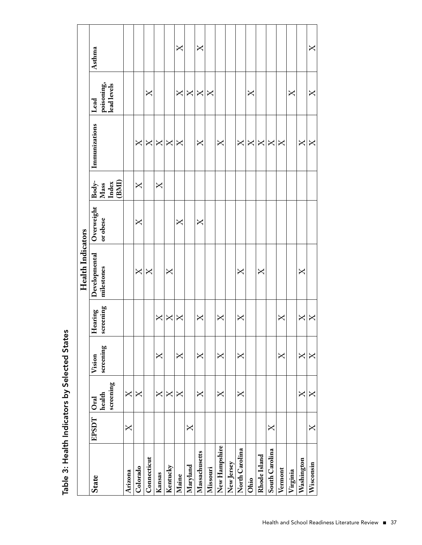|                |       |                                         |                                                                                         |                      | <b>Health Indicators</b>                   |                        |                                                                                                               |                                            |                                            |              |
|----------------|-------|-----------------------------------------|-----------------------------------------------------------------------------------------|----------------------|--------------------------------------------|------------------------|---------------------------------------------------------------------------------------------------------------|--------------------------------------------|--------------------------------------------|--------------|
| State          | EPSDT | screening<br>health<br>O <sub>rad</sub> | screening<br>Vision                                                                     | screening<br>Hearing | Developmental<br>milestones                | Overweight<br>or obese | $\begin{array}{c} \text{Body-} \\ \text{Mass} \\ \text{Index} \\ \text{Index} \\ \text{(BMI)} \\ \end{array}$ | Immunizations                              | poisoning,<br>lead levels<br>Lead          | Asthma       |
| Arizona        | X     | $\mathsf{X}% _{0}$                      |                                                                                         |                      |                                            |                        |                                                                                                               |                                            |                                            |              |
| Colorado       |       | $\overline{X}$                          |                                                                                         |                      | $\mathsf{X}% _{1}\left( \mathsf{Y}\right)$ | X                      | $\overline{X}$                                                                                                | $\mathsf{X}$                               |                                            |              |
| Connecticut    |       |                                         |                                                                                         |                      | $\mathsf{X}$                               |                        |                                                                                                               | $\mathsf{X}$                               | X                                          |              |
| Kansas         |       | $\mathsf{X}$                            | $\mathsf{X}$                                                                            | $\pmb{\times}$       |                                            |                        | $\mathsf{X}$                                                                                                  | $\mathsf{X}$                               |                                            |              |
| Kentucky       |       | X                                       |                                                                                         | X                    | X                                          |                        |                                                                                                               | $\mathsf{X}$                               |                                            |              |
| Maine          |       | $\overline{X}$                          | $\overline{X}$                                                                          | $\mathsf{X}$         |                                            | X                      |                                                                                                               | $\mathsf{X}$                               | $\mathsf{X}% _{0}$                         | $\mathsf{X}$ |
| Maryland       | X     |                                         |                                                                                         |                      |                                            |                        |                                                                                                               |                                            | $\mathsf{X}% _{1}\left( \mathsf{Y}\right)$ |              |
| Massachusetts  |       | $\mathsf{X}$                            | $\mathsf{X}$                                                                            | X                    |                                            | $\mathsf{X}$           |                                                                                                               | $\mathsf{X}$                               | $\mathsf{X}$                               | $\mathsf{X}$ |
| Missouri       |       |                                         |                                                                                         |                      |                                            |                        |                                                                                                               |                                            | $\mathsf{X}$                               |              |
| New Hampshire  |       | $\mathsf{X}$                            | X                                                                                       | $\mathsf{X}$         |                                            |                        |                                                                                                               | X                                          |                                            |              |
| New Jersey     |       |                                         |                                                                                         |                      |                                            |                        |                                                                                                               |                                            |                                            |              |
| North Carolina |       | $\mathsf{X}$                            | $\overline{X}$                                                                          | X                    | X                                          |                        |                                                                                                               | $\mathsf{X}% _{1}\left( \mathsf{Y}\right)$ |                                            |              |
| Ohio           |       |                                         |                                                                                         |                      |                                            |                        |                                                                                                               | $\overline{X}$                             | X                                          |              |
| Rhode Island   |       |                                         |                                                                                         |                      | X                                          |                        |                                                                                                               | $\mathsf{X}% _{1}\left( \mathsf{Y}\right)$ |                                            |              |
| South Carolina | X     |                                         |                                                                                         |                      |                                            |                        |                                                                                                               | $\mathsf{X}$                               |                                            |              |
| Vermont        |       |                                         | X                                                                                       | X                    |                                            |                        |                                                                                                               | X                                          |                                            |              |
| Virginia       |       |                                         |                                                                                         |                      |                                            |                        |                                                                                                               |                                            | X                                          |              |
| Washington     |       | X                                       | $\mathsf{X}% _{1}\left( \mathsf{Y}\right) \equiv\mathsf{X}_{1}\left( \mathsf{Y}\right)$ | $\mathsf{X}$         | X                                          |                        |                                                                                                               | $\mathsf{X}$                               |                                            |              |
| Wisconsin      | X     |                                         | $\Join$                                                                                 | X                    |                                            |                        |                                                                                                               | $\Join$                                    | $\bm{\times}$                              | X            |

Table 3: Health Indicators by Selected States Table 3: Health Indicators by Selected States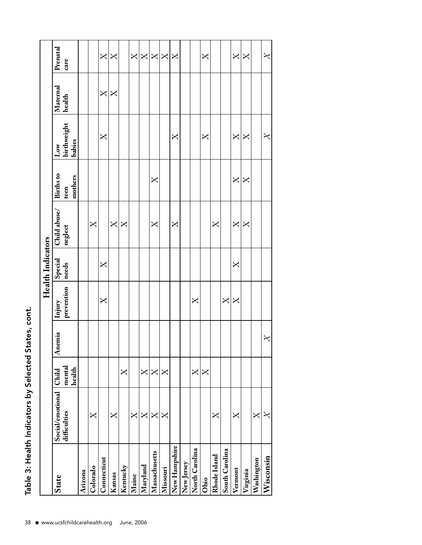|                |                  |                  |         |                                                                                         | <b>Health Indicators</b> |                                                                                                   |                                                 |                       |              |                                                                                         |
|----------------|------------------|------------------|---------|-----------------------------------------------------------------------------------------|--------------------------|---------------------------------------------------------------------------------------------------|-------------------------------------------------|-----------------------|--------------|-----------------------------------------------------------------------------------------|
| <b>State</b>   | Social/emotional | Child            | Anemia  | Injury                                                                                  | Special                  | Child abuse/                                                                                      | Births to                                       | $_{\rm Low}$          | Maternal     | Prenatal                                                                                |
|                | difficulties     | mental<br>health |         | prevention                                                                              | needs                    | neglect                                                                                           | mothers<br>teen                                 | birthweight<br>babies | health       | care                                                                                    |
| Arizona        |                  |                  |         |                                                                                         |                          |                                                                                                   |                                                 |                       |              |                                                                                         |
| Colorado       | $\Join$          |                  |         |                                                                                         |                          | $\mathsf{X}$                                                                                      |                                                 |                       |              |                                                                                         |
| Connecticut    |                  |                  |         | $\mathsf{X}$                                                                            | X                        |                                                                                                   |                                                 | $\mathsf{X}$          | $\mathsf{X}$ | $\mathsf{X}% _{1}\left( \mathsf{Y}\right) \equiv\mathsf{X}_{1}\left( \mathsf{Y}\right)$ |
| Kansas         | X                |                  |         |                                                                                         |                          | X                                                                                                 |                                                 |                       | $\mathsf{X}$ | $\overline{\mathsf{X}}$                                                                 |
| Kentucky       |                  | X                |         |                                                                                         |                          | $\mathsf{X}$                                                                                      |                                                 |                       |              |                                                                                         |
| Maine          | X                |                  |         |                                                                                         |                          |                                                                                                   |                                                 |                       |              | $\overline{X}$                                                                          |
| Maryland       | X                | X                |         |                                                                                         |                          |                                                                                                   |                                                 |                       |              |                                                                                         |
| Massachusetts  | $\bm{\times}$    | X                |         |                                                                                         |                          | X                                                                                                 | $\mathsf{X}$                                    |                       |              | $\times$ $\times$ $\times$                                                              |
| Missouri       | $\Join$          | X                |         |                                                                                         |                          |                                                                                                   |                                                 |                       |              |                                                                                         |
| New Hampshire  |                  |                  |         |                                                                                         |                          | X                                                                                                 |                                                 | X                     |              | $\overline{X}$                                                                          |
| New Jersey     |                  |                  |         |                                                                                         |                          |                                                                                                   |                                                 |                       |              |                                                                                         |
| North Carolina |                  | X                |         | $\mathsf{X}% _{1}\left( \mathcal{N}\right)$                                             |                          |                                                                                                   |                                                 |                       |              |                                                                                         |
| Ohio           |                  | X                |         |                                                                                         |                          |                                                                                                   |                                                 | $\mathsf{X}$          |              | X                                                                                       |
| Rhode Island   | $\bm{\times}$    |                  |         |                                                                                         |                          | $\mathsf{X}% _{1}\left( \mathcal{N}_{1}\right) \equiv\mathsf{X}_{1}\left( \mathcal{N}_{2}\right)$ |                                                 |                       |              |                                                                                         |
| South Carolina |                  |                  |         | $\mathsf{X}% _{1}\left( \mathsf{Y}\right) \equiv\mathsf{X}_{1}\left( \mathsf{Y}\right)$ |                          |                                                                                                   |                                                 |                       |              |                                                                                         |
| Vermont        | $\mathsf{X}$     |                  |         | $\overline{X}$                                                                          | $\mathsf{X}$             | $\mathsf{X}$                                                                                      | $\mathsf{X}$                                    | $\mathsf{X}$          |              | $\mathsf{X}% _{1}\left( \mathsf{Y}\right)$                                              |
| Virginia       |                  |                  |         |                                                                                         |                          | X                                                                                                 | $\mathsf{X}% _{1}\left( \mathcal{N}_{1}\right)$ | X                     |              | $\mathsf{X}$                                                                            |
| Washington     | $\bm{\times}$    |                  |         |                                                                                         |                          |                                                                                                   |                                                 |                       |              |                                                                                         |
| Wisconsin      |                  |                  | $\Join$ |                                                                                         |                          |                                                                                                   |                                                 | $\boldsymbol{\times}$ |              | $\boldsymbol{\times}$                                                                   |

Table 3: Health Indicators by Selected States, cont. Table 3: Health Indicators by Selected States, cont.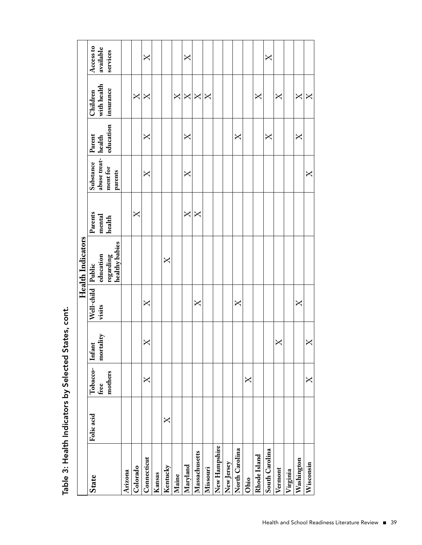|                          | Access to                             | available<br>services                      |         |                                            | X                                              |        |          |         | X                                                                                     |                                                                                       |               |               |            |                   |      |              | X              |         |          |                                            |               |
|--------------------------|---------------------------------------|--------------------------------------------|---------|--------------------------------------------|------------------------------------------------|--------|----------|---------|---------------------------------------------------------------------------------------|---------------------------------------------------------------------------------------|---------------|---------------|------------|-------------------|------|--------------|----------------|---------|----------|--------------------------------------------|---------------|
|                          | Children                              | with health<br>insurance                   |         | $\mathsf{X}% _{1}\left( \mathsf{Y}\right)$ | X                                              |        |          | $\Join$ | $\mathsf{X}% _{T}=\mathsf{Y}_{T}\!\left( a,b\right) ,\ \mathsf{Y}_{T}=\mathsf{Y}_{T}$ | $\mathsf{X}% _{T}=\mathsf{X}_{T}\!\left( a,b\right) ,\ \mathsf{X}_{T}=\mathsf{X}_{T}$ | $\bm{\times}$ |               |            |                   |      | X            |                | X       |          | $\mathsf{X}% _{1}\left( \mathsf{Y}\right)$ | $\bm{\times}$ |
|                          | Parent                                | education                                  |         |                                            | X                                              |        |          |         | $\mathsf{X}% _{1}\left( \mathcal{N}\right)$                                           |                                                                                       |               |               |            | $\bm{\mathsf{X}}$ |      |              | X              |         |          | X                                          |               |
|                          | Substance                             | abuse treat- health<br>ment for<br>parents |         |                                            | X                                              |        |          |         | $\overline{X}$                                                                        |                                                                                       |               |               |            |                   |      |              |                |         |          |                                            | X             |
|                          | Parents                               | mental<br>health                           |         | X                                          |                                                |        |          |         | $\mathsf{X}% _{1}\left( \mathsf{Y}\right)$                                            | $\mathsf{X}$                                                                          |               |               |            |                   |      |              |                |         |          |                                            |               |
| <b>Health Indicators</b> |                                       | regarding<br>  healthy babies              |         |                                            |                                                |        | X        |         |                                                                                       |                                                                                       |               |               |            |                   |      |              |                |         |          |                                            |               |
|                          | Well-child Public<br>visits education |                                            |         |                                            | $\mathsf{X}% _{1}\left( \mathbb{R}^{N}\right)$ |        |          |         |                                                                                       | $\mathsf{X}% _{T}$                                                                    |               |               |            | $\bm{\times}$     |      |              |                |         |          | $\overline{\mathsf{X}}$                    |               |
|                          |                                       |                                            |         |                                            | X                                              |        |          |         |                                                                                       |                                                                                       |               |               |            |                   |      |              |                | X       |          |                                            | X             |
|                          | Tobacco- Infant<br>free mortality     | mothers<br>$_{\rm free}$                   |         |                                            | X                                              |        |          |         |                                                                                       |                                                                                       |               |               |            |                   | X    |              |                |         |          |                                            | X             |
|                          | Folic acid                            |                                            |         |                                            |                                                |        | X        |         |                                                                                       |                                                                                       |               |               |            |                   |      |              |                |         |          |                                            |               |
|                          | <b>State</b>                          |                                            | Arizona | Colorado                                   | Connecticut                                    | Kansas | Kentucky | Maine   | Maryland                                                                              | Massachusetts                                                                         | Missouri      | New Hampshire | New Jersey | North Carolina    | Ohio | Rhode Island | South Carolina | Vermont | Virginia | Washington                                 | Wisconsin     |

Table 3: Health Indicators by Selected States, cont. Table 3: Health Indicators by Selected States, cont.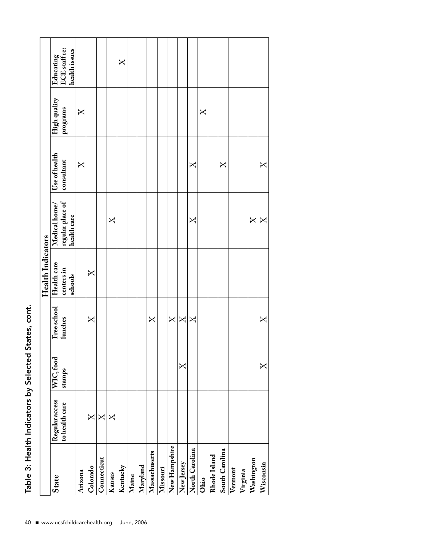| $\frac{1}{2}$ |
|---------------|
|               |
|               |
|               |
|               |
|               |
|               |
|               |
| こうしょう<br>í    |
|               |
| i<br>(        |
|               |
|               |
|               |
| ĕ             |
|               |

|                |                |           |                                                                                         | <b>Health Indicators</b> |                                            |                |              |               |
|----------------|----------------|-----------|-----------------------------------------------------------------------------------------|--------------------------|--------------------------------------------|----------------|--------------|---------------|
| State          | Regular access | WIC, food | Free school                                                                             | Health care              | Medical home/                              | Use of health  | High quality | Educating     |
|                | to health care | stamps    | lunches                                                                                 | centers in               | regular place of<br>health care            | consultant     | programs     | ECE staff re: |
|                |                |           |                                                                                         | schools                  |                                            |                |              | health issues |
| Arizona        |                |           |                                                                                         |                          |                                            | $\overline{X}$ | $\mathsf{X}$ |               |
| Colorado       | $\mathsf{X}$   |           | $\mathsf{X}$                                                                            | X                        |                                            |                |              |               |
| Connecticut    | X              |           |                                                                                         |                          |                                            |                |              |               |
| Kansas         | $\bm{\times}$  |           |                                                                                         |                          | X                                          |                |              |               |
| Kentucky       |                |           |                                                                                         |                          |                                            |                |              | X             |
| Maine          |                |           |                                                                                         |                          |                                            |                |              |               |
| Maryland       |                |           |                                                                                         |                          |                                            |                |              |               |
| Massachusetts  |                |           | $\mathsf{X}% _{1}\left( \mathsf{Y}\right) \equiv\mathsf{X}_{1}\left( \mathsf{Y}\right)$ |                          |                                            |                |              |               |
| Missouri       |                |           |                                                                                         |                          |                                            |                |              |               |
| New Hampshire  |                |           | $\overline{X}$                                                                          |                          |                                            |                |              |               |
| New Jersey     |                | X         | $\mathsf{X}% _{0}$                                                                      |                          |                                            |                |              |               |
| North Carolina |                |           | $\overline{X}$                                                                          |                          | X                                          | $\mathsf{X}$   |              |               |
| Ohio           |                |           |                                                                                         |                          |                                            |                | X            |               |
| Rhode Island   |                |           |                                                                                         |                          |                                            |                |              |               |
| South Carolina |                |           |                                                                                         |                          |                                            | X              |              |               |
| Vermont        |                |           |                                                                                         |                          |                                            |                |              |               |
| Virginia       |                |           |                                                                                         |                          |                                            |                |              |               |
| Washington     |                |           |                                                                                         |                          | $\mathsf{X}% _{1}\left( \mathsf{Y}\right)$ |                |              |               |
| Wisconsin      |                | X         | X                                                                                       |                          | $\mathsf{X}$                               | X              |              |               |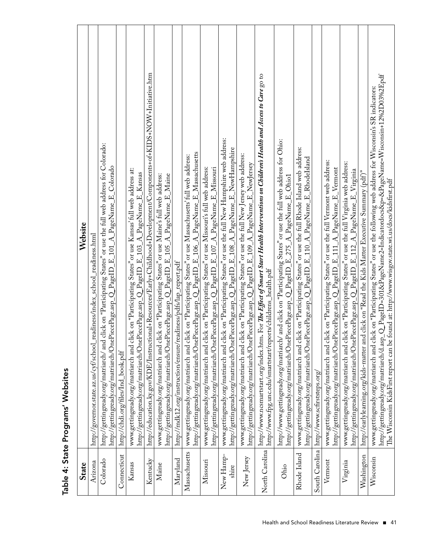| State              | Website                                                                                                                                                                                                                                                                                                                                                    |
|--------------------|------------------------------------------------------------------------------------------------------------------------------------------------------------------------------------------------------------------------------------------------------------------------------------------------------------------------------------------------------------|
|                    |                                                                                                                                                                                                                                                                                                                                                            |
| Arizona            | http://governor.state.az.us/cyf/school_readiness/index_school_readiness.html                                                                                                                                                                                                                                                                               |
| Colorado           | http://gettingready.org/matriarch/ and click on "Participating States" or use the full web address for Colorado:<br>http://gettingready.org/matriarch/OnePiecePage.asp_Q_PageID_E_101_A_PageName_E_Colorado                                                                                                                                                |
| Connecticut        | http://chdi.org/files/Ind_book.pdf                                                                                                                                                                                                                                                                                                                         |
| Kansas             | www.gettingready.org/matriarch and click on "Participating States" or use Kansas' full web address at:<br>http://gettingready.org/matriarch/OnePiecePage.asp_Q_PageID_E_103_A_PageName_E_Kansas                                                                                                                                                            |
| Kentucky           | http://education.ky.gov/KDE/Instructional+Resources/Early+Childhood+Development/Components+of+KIDS+NOW+Initiative.htm                                                                                                                                                                                                                                      |
| Maine              | http://gettingready.org/matriarch/OnePiecePage.asp_Q_PageID_E_105_A_PageName_E_Maine<br>www.gettingready.org/matriarch and click on "Participating States" or use Maine's full web address:                                                                                                                                                                |
| Maryland           | http://mdk12.org/instruction/ensure/readiness/pdfs/lap_report.pdf                                                                                                                                                                                                                                                                                          |
| Massachusetts      | http://gettingready.org/matriarch/OnePiecePage.asp_Q_PageID_E_106_A_PageName_E_Massachusetts<br>www.gettingready.org/matriarch and click on "Participating States" or use Massachusetts' full web address:                                                                                                                                                 |
| Missouri           | www.gettingready.org/matriarch and click on "Participating States" or use Missouri's full web address:<br>http://gettingready.org/matriarch/OnePiecePage.asp_Q_PageID_E_107_A_PageName_E_Missouri                                                                                                                                                          |
| New Hamp-<br>shire | www.gettingready.org/matriarch and click on "Participating States" or use the full New Hampshire web address:<br>http://gettingready.org/matriarch/OnePiecePage.asp_Q_PageID_E_108_A_PageName_E_NewHampshire                                                                                                                                               |
| New Jersey         | www.gettingready.org/matriarch and click on "Participating States" or use the full New Jersey web address:<br>http://gettingready.org/matriarch/OnePiecePage.asp_Q_PageID_E_109_A_PageName_E_NewJersey                                                                                                                                                     |
| North Carolina     | http://www.ncsmartstart.org/index.htm. For <i>The Effect of Smart Start Health Interventions on Children's Health and Access to Care</i> go to<br>http://www.fpg.unc.edu/smartstart/reports/childrens_health.pdf                                                                                                                                           |
| Ohio               | http://www.gettingready.org/matriarch/ and click on "Participating States" or use the full web address for Ohio:<br>http://gettingready.org/matriarch/OnePiecePage.asp_Q_PageID_E_275_A_PageName_E_Ohio1                                                                                                                                                   |
| Rhode Island       | www.gettingready.org/matriarch and click on "Participating States" or use the full Rhode Island web address:<br>http://gettingready.org/matriarch/OnePiecePage.asp_Q_PageID_E_110_A_PageName_E_RhodeIsland                                                                                                                                                 |
|                    | South Carolina http://www.scfirststeps.org/                                                                                                                                                                                                                                                                                                                |
| Vermont            | www.gettingready.org/matriarch and click on "Participating States" or use the full Vermont web address:<br>http://gettingready.org/matriarch/OnePiecePage.asp_Q_PageID_E_111_A_PageName_E_Vermont                                                                                                                                                          |
| Virginia           | www.gettingready.org/matriarch and click on "Participating States" or use the full Virginia web address:<br>http://gettingready.org/matriarch/OnePiecePage.asp_Q_PageID_E_112_A_PageName_E_Virginia                                                                                                                                                        |
| Washington         | http://earlylearning.org/kids-matter and click on "Read the Kids Matter Executive Summary (pdf)"                                                                                                                                                                                                                                                           |
| Wisconsin          | http://gettingready.org/matriarch/d.asp_Q_PageID=301&PageName2=Indicatordocs&p=&PageName=Wisconsin+12%2D03%2Epdf<br>The Wisconsin KidsFirst report can be found at: http://www.wisgov.state.wi.us/docs/kidsfirst.pdf<br>www.gettingready.org/matriarch and click on "Participating States" or use the following web address for Wisconsin's SR indicators: |

# Table 4: State Programs' Websites Table 4: State Programs' Websites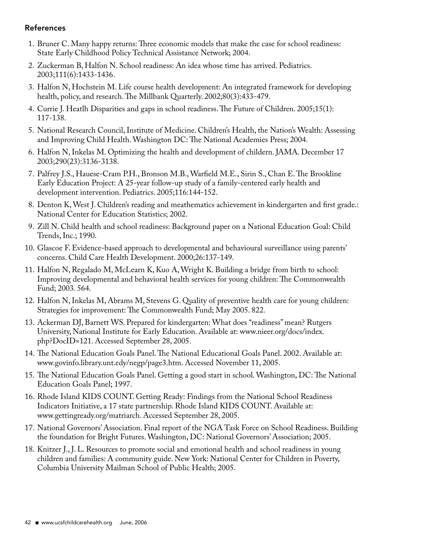#### References

- 1. Bruner C. Many happy returns: Three economic models that make the case for school readiness: State Early Childhood Policy Technical Assistance Network; 2004.
- 2. Zuckerman B, Halfon N. School readiness: An idea whose time has arrived. Pediatrics. 2003;111(6):1433-1436.
- 3. Halfon N, Hochstein M. Life course health development: An integrated framework for developing health, policy, and research. The Millbank Quarterly. 2002;80(3):433-479.
- 4. Currie J. Heatlh Disparities and gaps in school readiness. The Future of Children. 2005;15(1): 117-138.
- 5. National Research Council, Institute of Medicine. Children's Health, the Nation's Wealth: Assessing and Improving Child Health. Washington DC: The National Academies Press; 2004.
- 6. Halfon N, Inkelas M. Optimizing the health and development of childern. JAMA. December 17 2003;290(23):3136-3138.
- 7. Palfrey J.S., Hauese-Cram P.H., Bronson M.B., Warfield M.E., Sirin S., Chan E. The Brookline Early Education Project: A 25-year follow-up study of a family-centered early health and development intervention. Pediatrics. 2005;116:144-152.
- 8. Denton K, West J. Children's reading and meathematics achievement in kindergarten and first grade.: National Center for Education Statistics; 2002.
- 9. Zill N. Child health and school readiness: Background paper on a National Education Goal: Child Trends, Inc.; 1990.
- 10. Glascoe F. Evidence-based approach to developmental and behavioural surveillance using parents' concerns. Child Care Health Development. 2000;26:137-149.
- 11. Halfon N, Regalado M, McLearn K, Kuo A, Wright K. Building a bridge from birth to school: Improving developmental and behavioral health services for young children: The Commonwealth Fund; 2003. 564.
- 12. Halfon N, Inkelas M, Abrams M, Stevens G. Quality of preventive health care for young children: Strategies for improvement: The Commonwealth Fund; May 2005. 822.
- 13. Ackerman DJ, Barnett WS. Prepared for kindergarten: What does "readiness" mean? Rutgers University, National Institute for Early Education. Available at: www.nieer.org/docs/index. php?DocID=121. Accessed September 28, 2005.
- 14. The National Education Goals Panel. The National Educational Goals Panel. 2002. Available at: www.govinfo.library.unt.edy/negp/page3.htm. Accessed November 11, 2005.
- 15. The National Education Goals Panel. Getting a good start in school. Washington, DC: The National Education Goals Panel; 1997.
- 16. Rhode Island KIDS COUNT. Getting Ready: Findings from the National School Readiness Indicators Initiative, a 17 state partnership. Rhode Island KIDS COUNT. Available at: www.gettingready.org/matriarch. Accessed September 28, 2005.
- 17. National Governors' Association. Final report of the NGA Task Force on School Readiness. Building the foundation for Bright Futures. Washington, DC: National Governors' Association; 2005.
- 18. Knitzer J., J. L. Resources to promote social and emotional health and school readiness in young children and families: A community guide. New York: National Center for Children in Poverty, Columbia University Mailman School of Public Health; 2005.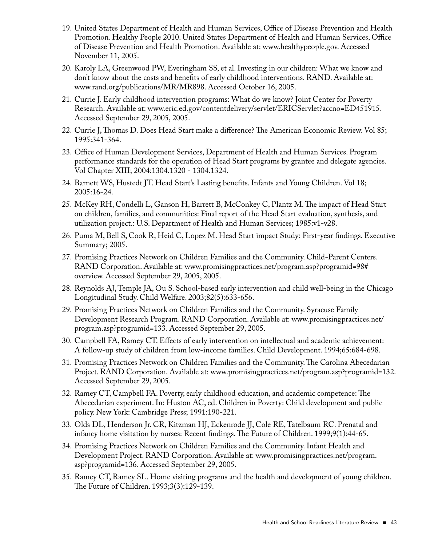- 19. United States Department of Health and Human Services, Office of Disease Prevention and Health Promotion. Healthy People 2010. United States Department of Health and Human Services, Office of Disease Prevention and Health Promotion. Available at: www.healthypeople.gov. Accessed November 11, 2005.
- 20. Karoly LA, Greenwood PW, Everingham SS, et al. Investing in our children: What we know and don't know about the costs and benefits of early childhood interventions. RAND. Available at: www.rand.org/publications/MR/MR898. Accessed October 16, 2005.
- 21. Currie J. Early childhood intervention programs: What do we know? Joint Center for Poverty Research. Available at: www.eric.ed.gov/contentdelivery/servlet/ERICServlet?accno=ED451915. Accessed September 29, 2005, 2005.
- 22. Currie J, Thomas D. Does Head Start make a difference? The American Economic Review. Vol 85; 1995:341-364.
- 23. Office of Human Development Services, Department of Health and Human Services. Program performance standards for the operation of Head Start programs by grantee and delegate agencies. Vol Chapter XIII; 2004:1304.1320 - 1304.1324.
- 24. Barnett WS, Hustedt JT. Head Start's Lasting benefits. Infants and Young Children. Vol 18; 2005:16-24.
- 25. McKey RH, Condelli L, Ganson H, Barrett B, McConkey C, Plantz M. The impact of Head Start on children, families, and communities: Final report of the Head Start evaluation, synthesis, and utilization project.: U.S. Department of Health and Human Services; 1985:v1-v28.
- 26. Puma M, Bell S, Cook R, Heid C, Lopez M. Head Start impact Study: First-year findings. Executive Summary; 2005.
- 27. Promising Practices Network on Children Families and the Community. Child-Parent Centers. RAND Corporation. Available at: www.promisingpractices.net/program.asp?programid=98# overview. Accessed September 29, 2005, 2005.
- 28. Reynolds AJ, Temple JA, Ou S. School-based early intervention and child well-being in the Chicago Longitudinal Study. Child Welfare. 2003;82(5):633-656.
- 29. Promising Practices Network on Children Families and the Community. Syracuse Family Development Research Program. RAND Corporation. Available at: www.promisingpractices.net/ program.asp?programid=133. Accessed September 29, 2005.
- 30. Campbell FA, Ramey CT. Effects of early intervention on intellectual and academic achievement: A follow-up study of children from low-income families. Child Development. 1994;65:684-698.
- 31. Promising Practices Network on Children Families and the Community. The Carolina Abecedarian Project. RAND Corporation. Available at: www.promisingpractices.net/program.asp?programid=132. Accessed September 29, 2005.
- 32. Ramey CT, Campbell FA. Poverty, early childhood education, and academic competence: The Abecedarian experiment. In: Huston AC, ed. Children in Poverty: Child development and public policy. New York: Cambridge Press; 1991:190-221.
- 33. Olds DL, Henderson Jr. CR, Kitzman HJ, Eckenrode JJ, Cole RE, Tatelbaum RC. Prenatal and infancy home visitation by nurses: Recent findings. The Future of Children. 1999;9(1):44-65.
- 34. Promising Practices Network on Children Families and the Community. Infant Health and Development Project. RAND Corporation. Available at: www.promisingpractices.net/program. asp?programid=136. Accessed September 29, 2005.
- 35. Ramey CT, Ramey SL. Home visiting programs and the health and development of young children. The Future of Children. 1993;3(3):129-139.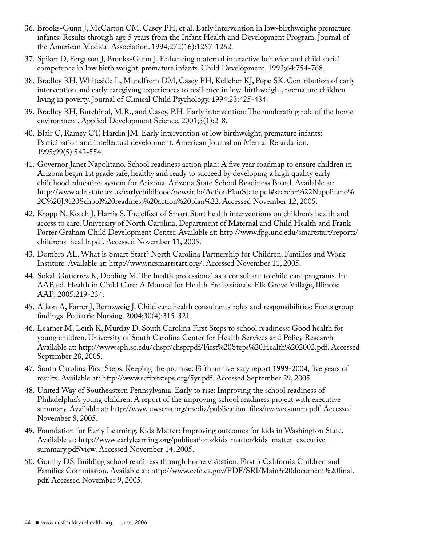- 36. Brooks-Gunn J, McCarton CM, Casey PH, et al. Early intervention in low-birthweight premature infants: Results through age 5 years from the Infant Health and Development Program. Journal of the American Medical Association. 1994;272(16):1257-1262.
- 37. Spiker D, Ferguson J, Brooks-Gunn J. Enhancing maternal interactive behavior and child social competence in low birth weight, premature infants. Child Development. 1993;64:754-768.
- 38. Bradley RH, Whiteside L, Mundfrom DM, Casey PH, Kelleher KJ, Pope SK. Contribution of early intervention and early caregiving experiences to resilience in low-birthweight, premature children living in poverty. Journal of Clinical Child Psychology. 1994;23:425-434.
- 39. Bradley RH, Burchinal, M.R., and Casey, P.H. Early intervention: The moderating role of the home environment. Applied Development Science. 2001;5(1):2-8.
- 40. Blair C, Ramey CT, Hardin JM. Early intervention of low birthweight, premature infants: Participation and intellectual development. American Journal on Mental Retardation. 1995;99(5):542-554.
- 41. Governor Janet Napolitano. School readiness action plan: A five year roadmap to ensure children in Arizona begin 1st grade safe, healthy and ready to succeed by developing a high quality early childhood education system for Arizona. Arizona State School Readiness Board. Available at: http://www.ade.state.az.us/earlychildhood/newsinfo/ActionPlanState.pdf#search=%22Napolitano% 2C%20J.%20School%20readiness%20action%20plan%22. Accessed November 12, 2005.
- 42. Kropp N, Kotch J, Harris S. The effect of Smart Start health interventions on children's health and access to care. University of North Carolina, Department of Maternal and Child Health and Frank Porter Graham Child Development Center. Available at: http://www.fpg.unc.edu/smartstart/reports/ childrens\_health.pdf. Accessed November 11, 2005.
- 43. Dombro AL. What is Smart Start? North Carolina Partnership for Children, Families and Work Institute. Available at: http://www.ncsmartstart.org/. Accessed November 11, 2005.
- 44. Sokal-Gutierrez K, Dooling M. The health professional as a consultant to child care programs. In: AAP, ed. Health in Child Care: A Manual for Health Professionals. Elk Grove Village, Illinois: AAP; 2005:219-234.
- 45. Alkon A, Farrer J, Bernzweig J. Child care health consultants' roles and responsibilities: Focus group findings. Pediatric Nursing. 2004;30(4):315-321.
- 46. Learner M, Leith K, Murday D. South Carolina First Steps to school readiness: Good health for young children. University of South Carolina Center for Health Services and Policy Research Available at: http://www.sph.sc.edu/chspr/chsprpdf/First%20Steps%20Health%202002.pdf. Accessed September 28, 2005.
- 47. South Carolina First Steps. Keeping the promise: Fifth anniversary report 1999-2004, five years of results. Available at: http://www.scfirststeps.org/5yr.pdf. Accessed September 29, 2005.
- 48. United Way of Southeastern Pennsylvania. Early to rise: Improving the school readiness of Philadelphia's young children. A report of the improving school readiness project with executive summary. Available at: http://www.uwsepa.org/media/publication\_files/uwexecsumm.pdf. Accessed November 8, 2005.
- 49. Foundation for Early Learning. Kids Matter: Improving outcomes for kids in Washington State. Available at: http://www.earlylearning.org/publications/kids-matter/kids\_matter\_executive\_ summary.pdf/view. Accessed November 14, 2005.
- 50. Gomby DS. Building school readiness through home visitation. First 5 California Children and Families Commission. Available at: http://www.ccfc.ca.gov/PDF/SRI/Main%20document%20final. pdf. Accessed November 9, 2005.